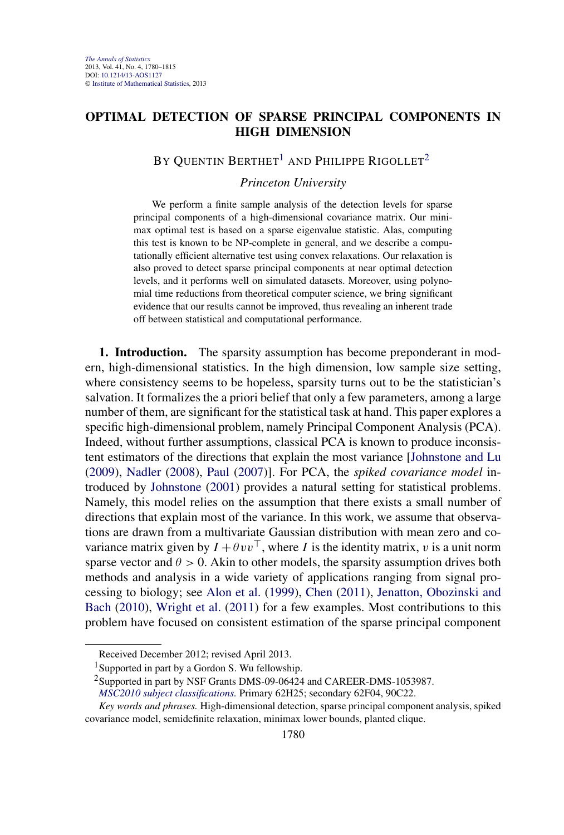## **OPTIMAL DETECTION OF SPARSE PRINCIPAL COMPONENTS IN HIGH DIMENSION**

# BY QUENTIN BERTHET<sup>1</sup> AND PHILIPPE RIGOLLET<sup>2</sup>

### *Princeton University*

We perform a finite sample analysis of the detection levels for sparse principal components of a high-dimensional covariance matrix. Our minimax optimal test is based on a sparse eigenvalue statistic. Alas, computing this test is known to be NP-complete in general, and we describe a computationally efficient alternative test using convex relaxations. Our relaxation is also proved to detect sparse principal components at near optimal detection levels, and it performs well on simulated datasets. Moreover, using polynomial time reductions from theoretical computer science, we bring significant evidence that our results cannot be improved, thus revealing an inherent trade off between statistical and computational performance.

**1. Introduction.** The sparsity assumption has become preponderant in modern, high-dimensional statistics. In the high dimension, low sample size setting, where consistency seems to be hopeless, sparsity turns out to be the statistician's salvation. It formalizes the a priori belief that only a few parameters, among a large number of them, are significant for the statistical task at hand. This paper explores a specific high-dimensional problem, namely Principal Component Analysis (PCA). Indeed, without further assumptions, classical PCA is known to produce inconsistent estimators of the directions that explain the most variance [\[Johnstone and Lu](#page-33-0) [\(2009\)](#page-33-0), [Nadler](#page-34-0) [\(2008\)](#page-34-0), [Paul](#page-34-0) [\(2007\)](#page-34-0)]. For PCA, the *spiked covariance model* introduced by [Johnstone](#page-33-0) [\(2001\)](#page-33-0) provides a natural setting for statistical problems. Namely, this model relies on the assumption that there exists a small number of directions that explain most of the variance. In this work, we assume that observations are drawn from a multivariate Gaussian distribution with mean zero and covariance matrix given by  $I + \theta v v^{\top}$ , where *I* is the identity matrix, *v* is a unit norm sparse vector and  $\theta > 0$ . Akin to other models, the sparsity assumption drives both methods and analysis in a wide variety of applications ranging from signal processing to biology; see [Alon et al.](#page-32-0) [\(1999\)](#page-32-0), [Chen](#page-32-0) [\(2011\)](#page-32-0), [Jenatton, Obozinski and](#page-33-0) [Bach](#page-33-0) [\(2010\)](#page-33-0), [Wright et al.](#page-35-0) [\(2011\)](#page-35-0) for a few examples. Most contributions to this problem have focused on consistent estimation of the sparse principal component

Received December 2012; revised April 2013.

<sup>&</sup>lt;sup>1</sup>Supported in part by a Gordon S. Wu fellowship.

<sup>&</sup>lt;sup>2</sup>Supported in part by NSF Grants DMS-09-06424 and CAREER-DMS-1053987.

*[MSC2010 subject classifications.](http://www.ams.org/mathscinet/msc/msc2010.html)* Primary 62H25; secondary 62F04, 90C22.

*Key words and phrases.* High-dimensional detection, sparse principal component analysis, spiked covariance model, semidefinite relaxation, minimax lower bounds, planted clique.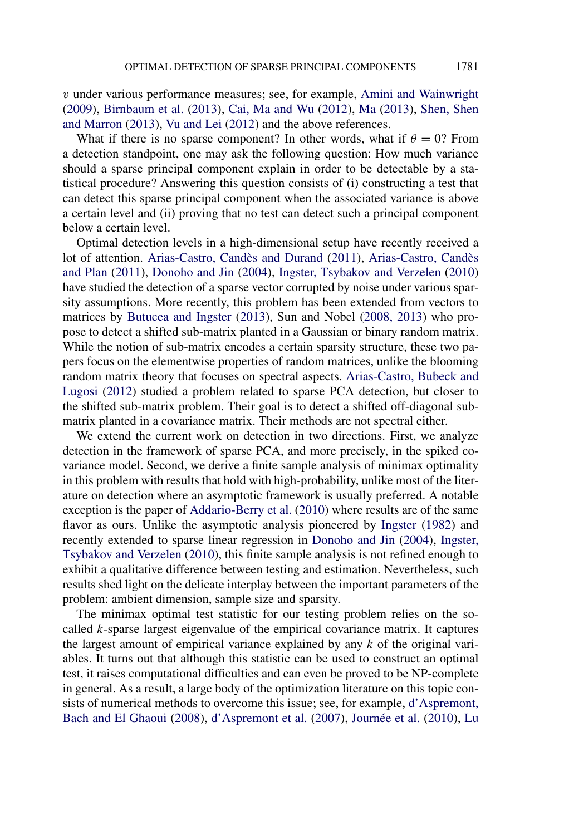*v* under various performance measures; see, for example, [Amini and Wainwright](#page-32-0) [\(2009\)](#page-32-0), [Birnbaum et al.](#page-32-0) [\(2013\)](#page-32-0), [Cai, Ma and Wu](#page-32-0) [\(2012\)](#page-32-0), [Ma](#page-34-0) [\(2013\)](#page-34-0), [Shen, Shen](#page-34-0) [and Marron](#page-34-0) [\(2013\)](#page-34-0), [Vu and Lei](#page-35-0) [\(2012\)](#page-35-0) and the above references.

What if there is no sparse component? In other words, what if  $\theta = 0$ ? From a detection standpoint, one may ask the following question: How much variance should a sparse principal component explain in order to be detectable by a statistical procedure? Answering this question consists of (i) constructing a test that can detect this sparse principal component when the associated variance is above a certain level and (ii) proving that no test can detect such a principal component below a certain level.

Optimal detection levels in a high-dimensional setup have recently received a lot of attention. [Arias-Castro, Candès and Durand](#page-32-0) [\(2011\)](#page-32-0), [Arias-Castro, Candès](#page-32-0) [and Plan](#page-32-0) [\(2011\)](#page-32-0), [Donoho and Jin](#page-33-0) [\(2004\)](#page-33-0), [Ingster, Tsybakov and Verzelen](#page-33-0) [\(2010\)](#page-33-0) have studied the detection of a sparse vector corrupted by noise under various sparsity assumptions. More recently, this problem has been extended from vectors to matrices by [Butucea and Ingster](#page-32-0) [\(2013\)](#page-32-0), Sun and Nobel [\(2008, 2013\)](#page-34-0) who propose to detect a shifted sub-matrix planted in a Gaussian or binary random matrix. While the notion of sub-matrix encodes a certain sparsity structure, these two papers focus on the elementwise properties of random matrices, unlike the blooming random matrix theory that focuses on spectral aspects. [Arias-Castro, Bubeck and](#page-32-0) [Lugosi](#page-32-0) [\(2012\)](#page-32-0) studied a problem related to sparse PCA detection, but closer to the shifted sub-matrix problem. Their goal is to detect a shifted off-diagonal submatrix planted in a covariance matrix. Their methods are not spectral either.

We extend the current work on detection in two directions. First, we analyze detection in the framework of sparse PCA, and more precisely, in the spiked covariance model. Second, we derive a finite sample analysis of minimax optimality in this problem with results that hold with high-probability, unlike most of the literature on detection where an asymptotic framework is usually preferred. A notable exception is the paper of [Addario-Berry et al.](#page-31-0) [\(2010\)](#page-31-0) where results are of the same flavor as ours. Unlike the asymptotic analysis pioneered by [Ingster](#page-33-0) [\(1982\)](#page-33-0) and recently extended to sparse linear regression in [Donoho and Jin](#page-33-0) [\(2004\)](#page-33-0), [Ingster,](#page-33-0) [Tsybakov and Verzelen](#page-33-0) [\(2010\)](#page-33-0), this finite sample analysis is not refined enough to exhibit a qualitative difference between testing and estimation. Nevertheless, such results shed light on the delicate interplay between the important parameters of the problem: ambient dimension, sample size and sparsity.

The minimax optimal test statistic for our testing problem relies on the socalled *k*-sparse largest eigenvalue of the empirical covariance matrix. It captures the largest amount of empirical variance explained by any *k* of the original variables. It turns out that although this statistic can be used to construct an optimal test, it raises computational difficulties and can even be proved to be NP-complete in general. As a result, a large body of the optimization literature on this topic consists of numerical methods to overcome this issue; see, for example, [d'Aspremont,](#page-33-0) [Bach and El Ghaoui](#page-33-0) [\(2008\)](#page-33-0), [d'Aspremont et al.](#page-33-0) [\(2007\)](#page-33-0), [Journée et al.](#page-34-0) [\(2010\)](#page-34-0), [Lu](#page-34-0)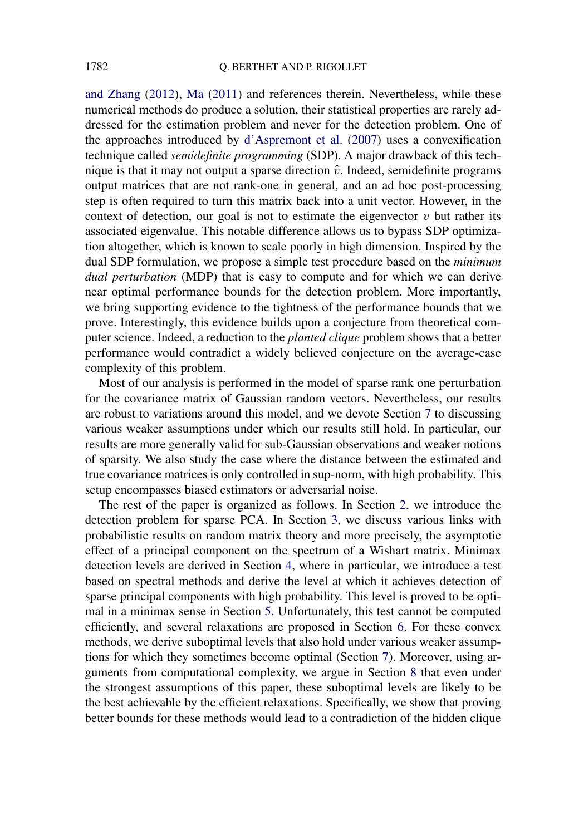[and Zhang](#page-34-0) [\(2012\)](#page-34-0), [Ma](#page-34-0) [\(2011\)](#page-34-0) and references therein. Nevertheless, while these numerical methods do produce a solution, their statistical properties are rarely addressed for the estimation problem and never for the detection problem. One of the approaches introduced by [d'Aspremont et al.](#page-33-0) [\(2007\)](#page-33-0) uses a convexification technique called *semidefinite programming* (SDP). A major drawback of this technique is that it may not output a sparse direction  $\hat{v}$ . Indeed, semidefinite programs output matrices that are not rank-one in general, and an ad hoc post-processing step is often required to turn this matrix back into a unit vector. However, in the context of detection, our goal is not to estimate the eigenvector  $v$  but rather its associated eigenvalue. This notable difference allows us to bypass SDP optimization altogether, which is known to scale poorly in high dimension. Inspired by the dual SDP formulation, we propose a simple test procedure based on the *minimum dual perturbation* (MDP) that is easy to compute and for which we can derive near optimal performance bounds for the detection problem. More importantly, we bring supporting evidence to the tightness of the performance bounds that we prove. Interestingly, this evidence builds upon a conjecture from theoretical computer science. Indeed, a reduction to the *planted clique* problem shows that a better performance would contradict a widely believed conjecture on the average-case complexity of this problem.

Most of our analysis is performed in the model of sparse rank one perturbation for the covariance matrix of Gaussian random vectors. Nevertheless, our results are robust to variations around this model, and we devote Section [7](#page-18-0) to discussing various weaker assumptions under which our results still hold. In particular, our results are more generally valid for sub-Gaussian observations and weaker notions of sparsity. We also study the case where the distance between the estimated and true covariance matrices is only controlled in sup-norm, with high probability. This setup encompasses biased estimators or adversarial noise.

The rest of the paper is organized as follows. In Section [2,](#page-3-0) we introduce the detection problem for sparse PCA. In Section [3,](#page-4-0) we discuss various links with probabilistic results on random matrix theory and more precisely, the asymptotic effect of a principal component on the spectrum of a Wishart matrix. Minimax detection levels are derived in Section [4,](#page-6-0) where in particular, we introduce a test based on spectral methods and derive the level at which it achieves detection of sparse principal components with high probability. This level is proved to be optimal in a minimax sense in Section [5.](#page-9-0) Unfortunately, this test cannot be computed efficiently, and several relaxations are proposed in Section [6.](#page-13-0) For these convex methods, we derive suboptimal levels that also hold under various weaker assumptions for which they sometimes become optimal (Section [7\)](#page-18-0). Moreover, using arguments from computational complexity, we argue in Section [8](#page-23-0) that even under the strongest assumptions of this paper, these suboptimal levels are likely to be the best achievable by the efficient relaxations. Specifically, we show that proving better bounds for these methods would lead to a contradiction of the hidden clique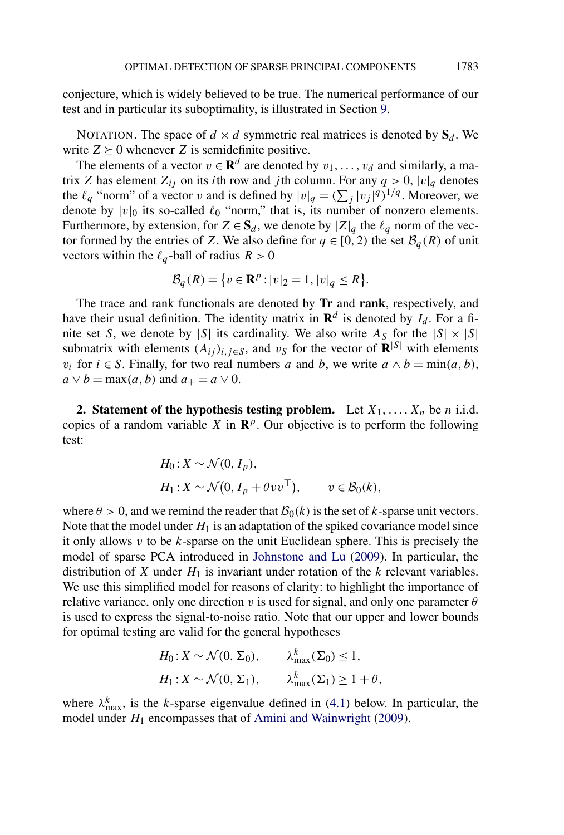<span id="page-3-0"></span>conjecture, which is widely believed to be true. The numerical performance of our test and in particular its suboptimality, is illustrated in Section [9.](#page-28-0)

NOTATION. The space of  $d \times d$  symmetric real matrices is denoted by  $S_d$ . We write  $Z \succeq 0$  whenever *Z* is semidefinite positive.

The elements of a vector  $v \in \mathbb{R}^d$  are denoted by  $v_1, \ldots, v_d$  and similarly, a matrix *Z* has element  $Z_{ij}$  on its *i*th row and *j*th column. For any  $q > 0$ ,  $|v|_q$  denotes the  $\ell_q$  "norm" of a vector *v* and is defined by  $|v|_q = (\sum_j |v_j|^q)^{1/q}$ . Moreover, we denote by  $|v|_0$  its so-called  $\ell_0$  "norm," that is, its number of nonzero elements. Furthermore, by extension, for  $Z \in S_d$ , we denote by  $|Z|_q$  the  $\ell_q$  norm of the vector formed by the entries of *Z*. We also define for  $q \in [0, 2)$  the set  $\mathcal{B}_q(R)$  of unit vectors within the  $\ell_q$ -ball of radius  $R > 0$ 

$$
\mathcal{B}_q(R) = \{ v \in \mathbf{R}^p : |v|_2 = 1, |v|_q \le R \}.
$$

The trace and rank functionals are denoted by **Tr** and **rank**, respectively, and have their usual definition. The identity matrix in  $\mathbf{R}^d$  is denoted by  $I_d$ . For a finite set *S*, we denote by |*S*| its cardinality. We also write  $A_S$  for the  $|S| \times |S|$ submatrix with elements  $(A_{ij})_{i,j\in S}$ , and  $v_S$  for the vector of  $\mathbb{R}^{|S|}$  with elements *v<sub>i</sub>* for *i* ∈ *S*. Finally, for two real numbers *a* and *b*, we write  $a \wedge b = \min(a, b)$ ,  $a \vee b = \max(a, b)$  and  $a_+ = a \vee 0$ .

**2.** Statement of the hypothesis testing problem. Let  $X_1, \ldots, X_n$  be *n* i.i.d. copies of a random variable *X* in  $\mathbb{R}^p$ . Our objective is to perform the following test:

$$
H_0: X \sim \mathcal{N}(0, I_p),
$$
  
\n
$$
H_1: X \sim \mathcal{N}(0, I_p + \theta v v^\top), \qquad v \in \mathcal{B}_0(k),
$$

where  $\theta > 0$ , and we remind the reader that  $\mathcal{B}_0(k)$  is the set of *k*-sparse unit vectors. Note that the model under  $H_1$  is an adaptation of the spiked covariance model since it only allows *v* to be *k*-sparse on the unit Euclidean sphere. This is precisely the model of sparse PCA introduced in [Johnstone and Lu](#page-33-0) [\(2009\)](#page-33-0). In particular, the distribution of *X* under  $H_1$  is invariant under rotation of the *k* relevant variables. We use this simplified model for reasons of clarity: to highlight the importance of relative variance, only one direction *v* is used for signal, and only one parameter  $\theta$ is used to express the signal-to-noise ratio. Note that our upper and lower bounds for optimal testing are valid for the general hypotheses

$$
H_0: X \sim \mathcal{N}(0, \Sigma_0), \qquad \lambda_{\max}^k(\Sigma_0) \le 1,
$$
  

$$
H_1: X \sim \mathcal{N}(0, \Sigma_1), \qquad \lambda_{\max}^k(\Sigma_1) \ge 1 + \theta,
$$

where  $\lambda_{\text{max}}^k$ , is the *k*-sparse eigenvalue defined in [\(4.1\)](#page-6-0) below. In particular, the model under  $H_1$  encompasses that of [Amini and Wainwright](#page-32-0) [\(2009\)](#page-32-0).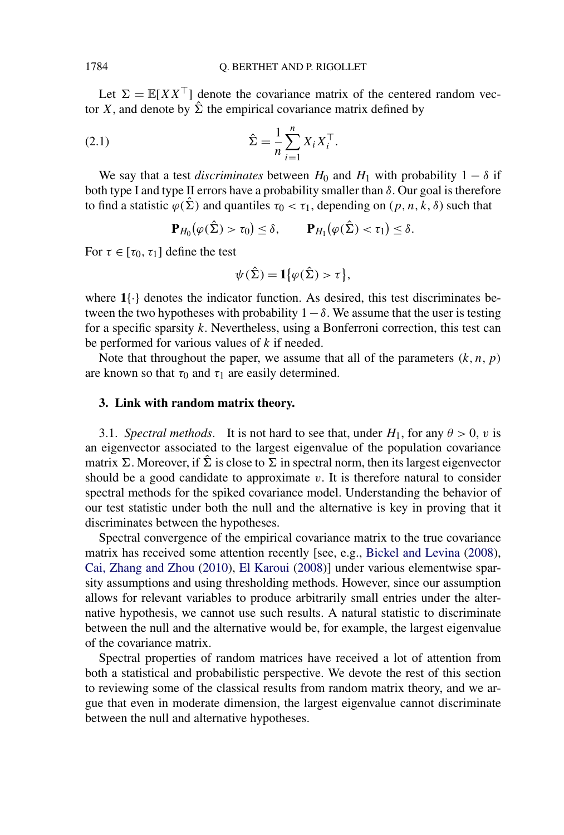<span id="page-4-0"></span>Let  $\Sigma = \mathbb{E}[XX^\top]$  denote the covariance matrix of the centered random vector *X*, and denote by  $\hat{\Sigma}$  the empirical covariance matrix defined by

(2.1) 
$$
\hat{\Sigma} = \frac{1}{n} \sum_{i=1}^{n} X_i X_i^{\top}.
$$

We say that a test *discriminates* between  $H_0$  and  $H_1$  with probability  $1 - \delta$  if both type I and type II errors have a probability smaller than *δ*. Our goal is therefore to find a statistic  $\varphi(\hat{\Sigma})$  and quantiles  $\tau_0 < \tau_1$ , depending on  $(p, n, k, \delta)$  such that

$$
\mathbf{P}_{H_0}(\varphi(\hat{\Sigma}) > \tau_0) \leq \delta, \qquad \mathbf{P}_{H_1}(\varphi(\hat{\Sigma}) < \tau_1) \leq \delta.
$$

For  $\tau \in [\tau_0, \tau_1]$  define the test

$$
\psi(\hat{\Sigma}) = \mathbf{1}\big\{\varphi(\hat{\Sigma}) > \tau\big\},\
$$

where **1**{·} denotes the indicator function. As desired, this test discriminates between the two hypotheses with probability  $1-\delta$ . We assume that the user is testing for a specific sparsity *k*. Nevertheless, using a Bonferroni correction, this test can be performed for various values of *k* if needed.

Note that throughout the paper, we assume that all of the parameters  $(k, n, p)$ are known so that  $\tau_0$  and  $\tau_1$  are easily determined.

### **3. Link with random matrix theory.**

3.1. *Spectral methods*. It is not hard to see that, under  $H_1$ , for any  $\theta > 0$ , *v* is an eigenvector associated to the largest eigenvalue of the population covariance matrix  $\Sigma$ . Moreover, if  $\Sigma$  is close to  $\Sigma$  in spectral norm, then its largest eigenvector should be a good candidate to approximate  $v$ . It is therefore natural to consider spectral methods for the spiked covariance model. Understanding the behavior of our test statistic under both the null and the alternative is key in proving that it discriminates between the hypotheses.

Spectral convergence of the empirical covariance matrix to the true covariance matrix has received some attention recently [see, e.g., [Bickel and Levina](#page-32-0) [\(2008\)](#page-32-0), [Cai, Zhang and Zhou](#page-32-0) [\(2010\)](#page-32-0), [El Karoui](#page-33-0) [\(2008\)](#page-33-0)] under various elementwise sparsity assumptions and using thresholding methods. However, since our assumption allows for relevant variables to produce arbitrarily small entries under the alternative hypothesis, we cannot use such results. A natural statistic to discriminate between the null and the alternative would be, for example, the largest eigenvalue of the covariance matrix.

Spectral properties of random matrices have received a lot of attention from both a statistical and probabilistic perspective. We devote the rest of this section to reviewing some of the classical results from random matrix theory, and we argue that even in moderate dimension, the largest eigenvalue cannot discriminate between the null and alternative hypotheses.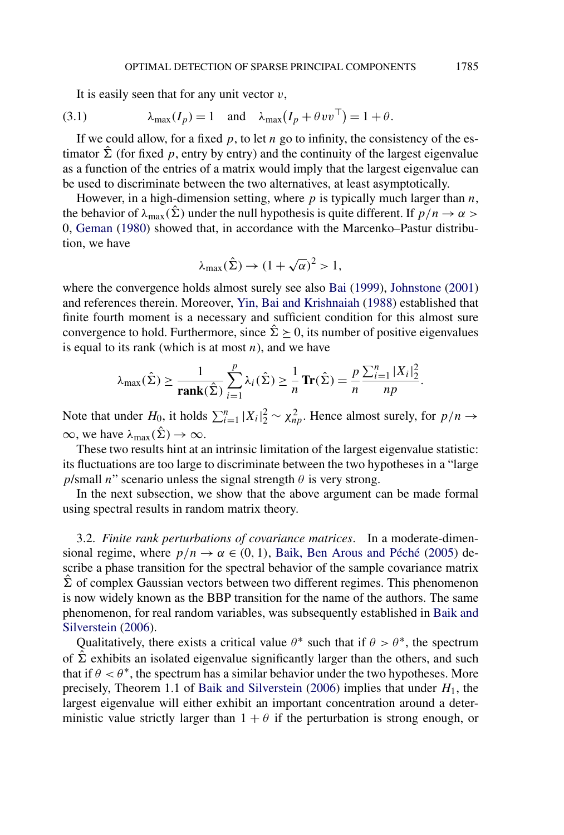It is easily seen that for any unit vector *v*,

(3.1) 
$$
\lambda_{\max}(I_p) = 1 \text{ and } \lambda_{\max}(I_p + \theta v v^{\top}) = 1 + \theta.
$$

If we could allow, for a fixed  $p$ , to let  $n$  go to infinity, the consistency of the estimator  $\Sigma$  (for fixed p, entry by entry) and the continuity of the largest eigenvalue as a function of the entries of a matrix would imply that the largest eigenvalue can be used to discriminate between the two alternatives, at least asymptotically.

However, in a high-dimension setting, where *p* is typically much larger than *n*, the behavior of  $\lambda_{\text{max}}(\hat{\Sigma})$  under the null hypothesis is quite different. If  $p/n \to \alpha$ 0, [Geman](#page-33-0) [\(1980\)](#page-33-0) showed that, in accordance with the Marcenko–Pastur distribution, we have

$$
\lambda_{max}(\hat{\Sigma}) \to (1 + \sqrt{\alpha})^2 > 1,
$$

where the convergence holds almost surely see also [Bai](#page-32-0) [\(1999\)](#page-32-0), [Johnstone](#page-33-0) [\(2001\)](#page-33-0) and references therein. Moreover, [Yin, Bai and Krishnaiah](#page-35-0) [\(1988\)](#page-35-0) established that finite fourth moment is a necessary and sufficient condition for this almost sure convergence to hold. Furthermore, since  $\Sigma > 0$ , its number of positive eigenvalues is equal to its rank (which is at most  $n$ ), and we have

$$
\lambda_{\max}(\hat{\Sigma}) \ge \frac{1}{\text{rank}(\hat{\Sigma})} \sum_{i=1}^p \lambda_i(\hat{\Sigma}) \ge \frac{1}{n} \text{Tr}(\hat{\Sigma}) = \frac{p}{n} \frac{\sum_{i=1}^n |X_i|_2^2}{np}.
$$

Note that under  $H_0$ , it holds  $\sum_{i=1}^n |X_i|^2 \sim \chi^2_{np}$ . Hence almost surely, for  $p/n \to$  $\infty$ , we have  $\lambda_{\text{max}}(\hat{\Sigma}) \to \infty$ .

These two results hint at an intrinsic limitation of the largest eigenvalue statistic: its fluctuations are too large to discriminate between the two hypotheses in a "large *p*/small *n*" scenario unless the signal strength  $\theta$  is very strong.

In the next subsection, we show that the above argument can be made formal using spectral results in random matrix theory.

3.2. *Finite rank perturbations of covariance matrices*. In a moderate-dimensional regime, where  $p/n \to \alpha \in (0, 1)$ , [Baik, Ben Arous and Péché](#page-32-0) [\(2005\)](#page-32-0) describe a phase transition for the spectral behavior of the sample covariance matrix  $\hat{\Sigma}$  of complex Gaussian vectors between two different regimes. This phenomenon is now widely known as the BBP transition for the name of the authors. The same phenomenon, for real random variables, was subsequently established in [Baik and](#page-32-0) [Silverstein](#page-32-0) [\(2006\)](#page-32-0).

Qualitatively, there exists a critical value  $\theta^*$  such that if  $\theta > \theta^*$ , the spectrum of  $\Sigma$  exhibits an isolated eigenvalue significantly larger than the others, and such that if  $\theta < \theta^*$ , the spectrum has a similar behavior under the two hypotheses. More precisely, Theorem 1.1 of [Baik and Silverstein](#page-32-0) [\(2006\)](#page-32-0) implies that under *H*1, the largest eigenvalue will either exhibit an important concentration around a deterministic value strictly larger than  $1 + \theta$  if the perturbation is strong enough, or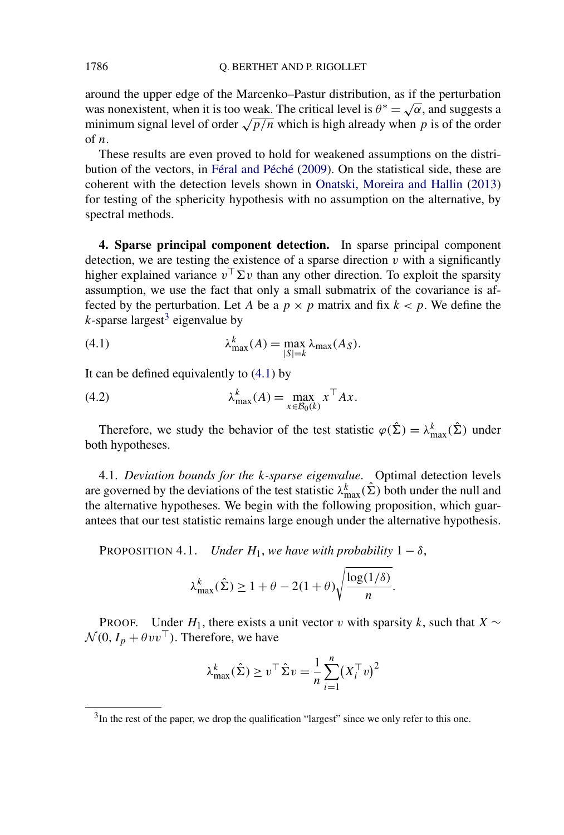around the upper edge of the Marcenko–Pastur distribution, as if the perturbation was nonexistent, when it is too weak. The critical level is  $\theta^* = \sqrt{\alpha}$ , and suggests a minimum signal level of order  $\sqrt{p/n}$  which is high already when p is of the order of *n*.

These results are even proved to hold for weakened assumptions on the distribution of the vectors, in [Féral and Péché](#page-33-0) [\(2009\)](#page-33-0). On the statistical side, these are coherent with the detection levels shown in [Onatski, Moreira and Hallin](#page-34-0) [\(2013\)](#page-34-0) for testing of the sphericity hypothesis with no assumption on the alternative, by spectral methods.

**4. Sparse principal component detection.** In sparse principal component detection, we are testing the existence of a sparse direction  $v$  with a significantly higher explained variance  $v^{\top} \Sigma v$  than any other direction. To exploit the sparsity assumption, we use the fact that only a small submatrix of the covariance is affected by the perturbation. Let *A* be a  $p \times p$  matrix and fix  $k < p$ . We define the  $k$ -sparse largest<sup>3</sup> eigenvalue by

(4.1) 
$$
\lambda_{\max}^k(A) = \max_{|S|=k} \lambda_{\max}(A_S).
$$

It can be defined equivalently to (4.1) by

(4.2) 
$$
\lambda_{\max}^k(A) = \max_{x \in \mathcal{B}_0(k)} x^\top A x.
$$

Therefore, we study the behavior of the test statistic  $\varphi(\hat{\Sigma}) = \lambda_{\max}^k(\hat{\Sigma})$  under both hypotheses.

4.1. *Deviation bounds for the k-sparse eigenvalue*. Optimal detection levels are governed by the deviations of the test statistic  $\lambda_{\max}^k(\hat{\Sigma})$  both under the null and the alternative hypotheses. We begin with the following proposition, which guarantees that our test statistic remains large enough under the alternative hypothesis.

PROPOSITION 4.1. *Under*  $H_1$ , *we have with probability*  $1 - \delta$ ,

$$
\lambda_{\max}^k(\hat{\Sigma}) \ge 1 + \theta - 2(1+\theta)\sqrt{\frac{\log(1/\delta)}{n}}.
$$

PROOF. Under  $H_1$ , there exists a unit vector *v* with sparsity *k*, such that *X* ∼  $\mathcal{N}(0, I_p + \theta v v^\top)$ . Therefore, we have

$$
\lambda_{\max}^k(\hat{\Sigma}) \ge v^\top \hat{\Sigma} v = \frac{1}{n} \sum_{i=1}^n (X_i^\top v)^2
$$

<span id="page-6-0"></span>

 $3$ In the rest of the paper, we drop the qualification "largest" since we only refer to this one.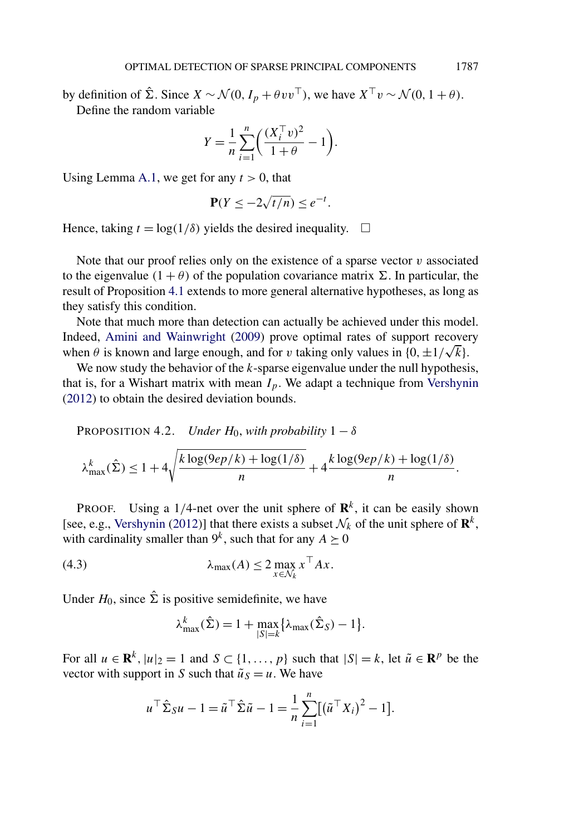<span id="page-7-0"></span>by definition of  $\hat{\Sigma}$ . Since  $X \sim \mathcal{N}(0, I_p + \theta v v^{\top})$ , we have  $X^{\top} v \sim \mathcal{N}(0, 1 + \theta)$ . Define the random variable

$$
Y = \frac{1}{n} \sum_{i=1}^{n} \left( \frac{(X_i^{\top} v)^2}{1 + \theta} - 1 \right).
$$

Using Lemma [A.1,](#page-30-0) we get for any  $t > 0$ , that

$$
\mathbf{P}(Y \le -2\sqrt{t/n}) \le e^{-t}.
$$

Hence, taking  $t = \log(1/\delta)$  yields the desired inequality.  $\Box$ 

Note that our proof relies only on the existence of a sparse vector *v* associated to the eigenvalue  $(1 + \theta)$  of the population covariance matrix  $\Sigma$ . In particular, the result of Proposition [4.1](#page-6-0) extends to more general alternative hypotheses, as long as they satisfy this condition.

Note that much more than detection can actually be achieved under this model. Indeed, [Amini and Wainwright](#page-32-0) [\(2009\)](#page-32-0) prove optimal rates of support recovery Indeed, Amini and Wainwright (2009) prove optimal rates of support recover<br>when  $\theta$  is known and large enough, and for *v* taking only values in  $\{0, \pm 1/\sqrt{k}\}$ .

We now study the behavior of the *k*-sparse eigenvalue under the null hypothesis, that is, for a Wishart matrix with mean  $I_p$ . We adapt a technique from [Vershynin](#page-34-0) [\(2012\)](#page-34-0) to obtain the desired deviation bounds.

PROPOSITION 4.2. *Under*  $H_0$ , *with probability*  $1 - \delta$ 

$$
\lambda_{\max}^k(\hat{\Sigma}) \le 1 + 4\sqrt{\frac{k \log(9ep/k) + \log(1/\delta)}{n}} + 4\frac{k \log(9ep/k) + \log(1/\delta)}{n}.
$$

**PROOF.** Using a 1/4-net over the unit sphere of  $\mathbb{R}^k$ , it can be easily shown [see, e.g., [Vershynin](#page-34-0) [\(2012\)](#page-34-0)] that there exists a subset  $\mathcal{N}_k$  of the unit sphere of  $\mathbf{R}^k$ , with cardinality smaller than  $9^k$ , such that for any  $A \succeq 0$ 

$$
\lambda_{\max}(A) \le 2 \max_{x \in \mathcal{N}_k} x^{\top} A x.
$$

Under  $H_0$ , since  $\hat{\Sigma}$  is positive semidefinite, we have

$$
\lambda_{\max}^k(\hat{\Sigma}) = 1 + \max_{|S|=k} \{ \lambda_{\max}(\hat{\Sigma}_S) - 1 \}.
$$

For all  $u \in \mathbb{R}^k$ ,  $|u|_2 = 1$  and  $S \subset \{1, ..., p\}$  such that  $|S| = k$ , let  $\tilde{u} \in \mathbb{R}^p$  be the vector with support in *S* such that  $\tilde{u}_S = u$ . We have

$$
u^\top \hat{\Sigma}_S u - 1 = \tilde{u}^\top \hat{\Sigma} \tilde{u} - 1 = \frac{1}{n} \sum_{i=1}^n [(\tilde{u}^\top X_i)^2 - 1].
$$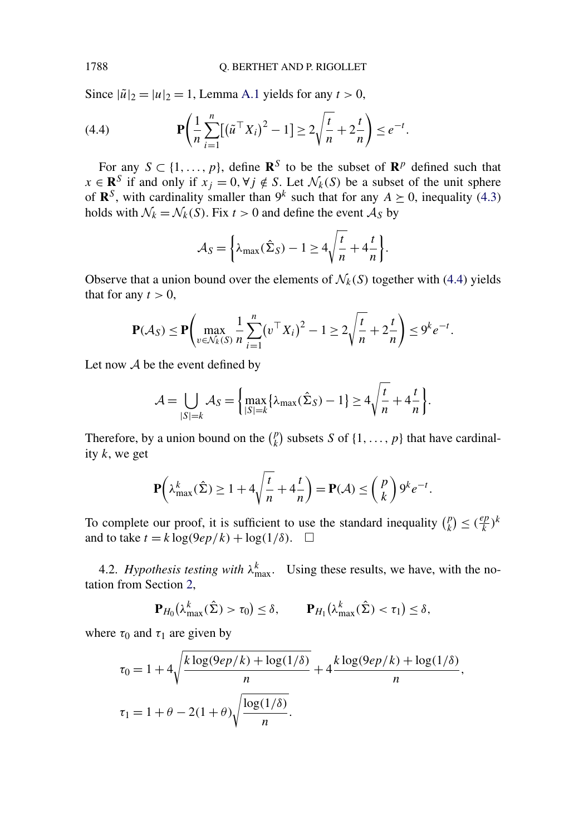Since  $|\tilde{u}|_2 = |u|_2 = 1$ , Lemma [A.1](#page-30-0) yields for any  $t > 0$ ,

(4.4) 
$$
\mathbf{P}\left(\frac{1}{n}\sum_{i=1}^{n}[(\tilde{u}^{\top}X_{i})^{2}-1]\geq 2\sqrt{\frac{t}{n}}+2\frac{t}{n}\right)\leq e^{-t}.
$$

For any  $S \subset \{1, \ldots, p\}$ , define  $\mathbb{R}^S$  to be the subset of  $\mathbb{R}^p$  defined such that *x* ∈ **R**<sup>*S*</sup> if and only if  $x_j = 0, \forall j \notin S$ . Let  $\mathcal{N}_k(S)$  be a subset of the unit sphere of  $\mathbb{R}^S$ , with cardinality smaller than  $9^k$  such that for any  $A \succeq 0$ , inequality [\(4.3\)](#page-7-0) holds with  $\mathcal{N}_k = \mathcal{N}_k(S)$ . Fix  $t > 0$  and define the event  $\mathcal{A}_S$  by

$$
A_S = \left\{ \lambda_{\max}(\hat{\Sigma}_S) - 1 \ge 4\sqrt{\frac{t}{n}} + 4\frac{t}{n} \right\}.
$$

Observe that a union bound over the elements of  $\mathcal{N}_k(S)$  together with (4.4) yields that for any  $t > 0$ ,

$$
\mathbf{P}(\mathcal{A}_{S}) \leq \mathbf{P} \left( \max_{v \in \mathcal{N}_{k}(S)} \frac{1}{n} \sum_{i=1}^{n} (v^{\top} X_{i})^{2} - 1 \geq 2 \sqrt{\frac{t}{n}} + 2 \frac{t}{n} \right) \leq 9^{k} e^{-t}.
$$

Let now  $A$  be the event defined by

$$
\mathcal{A} = \bigcup_{|S|=k} \mathcal{A}_S = \left\{ \max_{|S|=k} \{ \lambda_{\max}(\hat{\Sigma}_S) - 1 \} \ge 4 \sqrt{\frac{t}{n}} + 4\frac{t}{n} \right\}.
$$

Therefore, by a union bound on the  $\binom{p}{k}$  subsets *S* of  $\{1, \ldots, p\}$  that have cardinality *k*, we get

$$
\mathbf{P}\left(\lambda_{\max}^k(\hat{\Sigma}) \ge 1 + 4\sqrt{\frac{t}{n}} + 4\frac{t}{n}\right) = \mathbf{P}(\mathcal{A}) \le \binom{p}{k} 9^k e^{-t}.
$$

To complete our proof, it is sufficient to use the standard inequality  $\binom{p}{k} \leq \left(\frac{ep}{k}\right)^k$ and to take  $t = k \log(9ep/k) + \log(1/\delta)$ .  $\Box$ 

4.2. *Hypothesis testing with*  $\lambda_{\text{max}}^k$ . Using these results, we have, with the notation from Section [2,](#page-3-0)

$$
\mathbf{P}_{H_0}(\lambda_{\max}^k(\hat{\Sigma}) > \tau_0) \le \delta, \qquad \mathbf{P}_{H_1}(\lambda_{\max}^k(\hat{\Sigma}) < \tau_1) \le \delta,
$$

where  $\tau_0$  and  $\tau_1$  are given by

$$
\tau_0 = 1 + 4\sqrt{\frac{k \log(9ep/k) + \log(1/\delta)}{n}} + 4\frac{k \log(9ep/k) + \log(1/\delta)}{n},
$$
  

$$
\tau_1 = 1 + \theta - 2(1+\theta)\sqrt{\frac{\log(1/\delta)}{n}}.
$$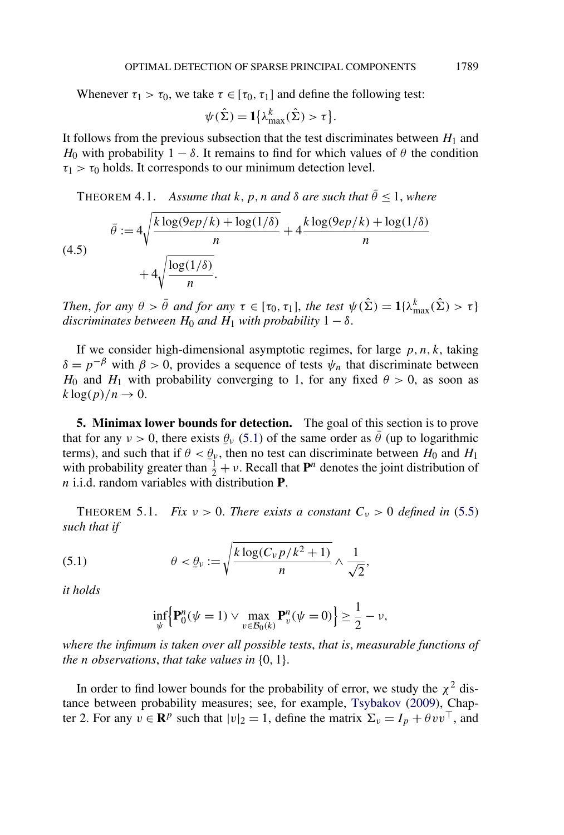<span id="page-9-0"></span>Whenever  $\tau_1 > \tau_0$ , we take  $\tau \in [\tau_0, \tau_1]$  and define the following test:

$$
\psi(\hat{\Sigma}) = \mathbf{1}\left\{\lambda_{\max}^k(\hat{\Sigma}) > \tau\right\}.
$$

It follows from the previous subsection that the test discriminates between  $H_1$  and *H*<sub>0</sub> with probability  $1 - \delta$ . It remains to find for which values of *θ* the condition  $\tau_1 > \tau_0$  holds. It corresponds to our minimum detection level.

THEOREM 4.1. *Assume that*  $k, p, n$  *and*  $\delta$  *are such that*  $\bar{\theta}$  < 1, *where* 

$$
\bar{\theta} := 4\sqrt{\frac{k \log(9ep/k) + \log(1/\delta)}{n}} + 4\frac{k \log(9ep/k) + \log(1/\delta)}{n}
$$
\n
$$
+ 4\sqrt{\frac{\log(1/\delta)}{n}}.
$$

*Then, for any*  $\theta > \bar{\theta}$  *and for any*  $\tau \in [\tau_0, \tau_1]$ *, the test*  $\psi(\hat{\Sigma}) = 1\{\lambda_{\max}^k(\hat{\Sigma}) > \tau\}$ *discriminates between*  $H_0$  *and*  $H_1$  *with probability*  $1 - \delta$ .

If we consider high-dimensional asymptotic regimes, for large  $p, n, k$ , taking *δ* =  $p^{-β}$  with *β* > 0, provides a sequence of tests  $ψ_n$  that discriminate between *H*<sub>0</sub> and *H*<sub>1</sub> with probability converging to 1, for any fixed  $\theta > 0$ , as soon as  $k \log(p)/n \rightarrow 0$ .

**5. Minimax lower bounds for detection.** The goal of this section is to prove that for any  $v > 0$ , there exists  $\theta_v$  (5.1) of the same order as  $\bar{\theta}$  (up to logarithmic<br>terms) and such that if  $\theta < \theta$ , then no test can discriminate between  $H_0$  and  $H_1$ terms), and such that if  $\theta < \theta_v$ , then no test can discriminate between *H*<sub>0</sub> and *H*<sub>1</sub> with probability greater than  $\frac{1}{n} + v$ . Recall that **P**<sup>n</sup> denotes the joint distribution of with probability greater than  $\frac{1}{2} + v$ . Recall that  $\mathbf{P}^n$  denotes the joint distribution of *n* i.i.d. random variables with distribution **P**.

THEOREM 5.1. *Fix*  $v > 0$ . *There exists a constant*  $C_v > 0$  *defined in* [\(5.5\)](#page-12-0) *such that if*

(5.1) 
$$
\theta < \underline{\theta}_{\nu} := \sqrt{\frac{k \log(C_{\nu} p / k^2 + 1)}{n}} \wedge \frac{1}{\sqrt{2}},
$$

*it holds*

$$
\inf_{\psi} \Big\{ \mathbf{P}_0^n(\psi = 1) \vee \max_{v \in \mathcal{B}_0(k)} \mathbf{P}_v^n(\psi = 0) \Big\} \ge \frac{1}{2} - \nu,
$$

*where the infimum is taken over all possible tests*, *that is*, *measurable functions of the n observations*, *that take values in* {0*,* 1}.

In order to find lower bounds for the probability of error, we study the  $\chi^2$  distance between probability measures; see, for example, [Tsybakov](#page-34-0) [\(2009\)](#page-34-0), Chapter 2. For any  $v \in \mathbb{R}^p$  such that  $|v|_2 = 1$ , define the matrix  $\Sigma_v = I_p + \theta v v^\top$ , and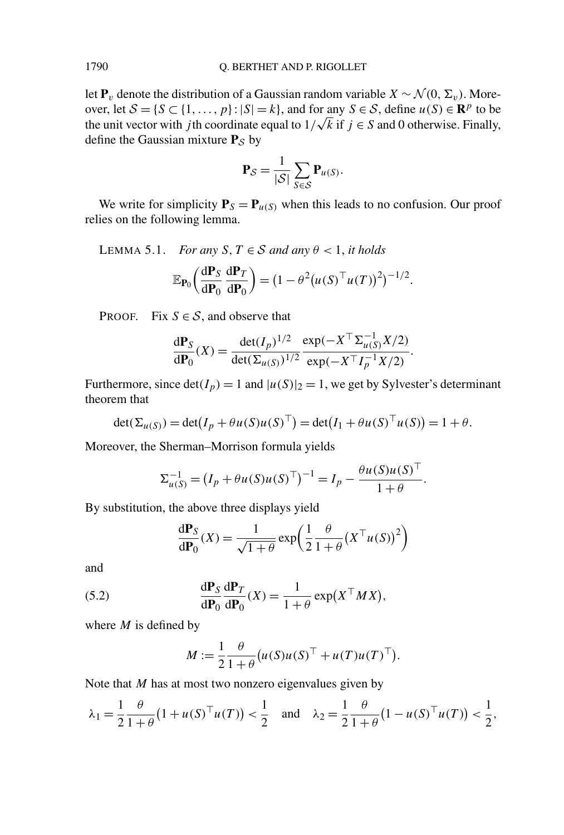let  $P_v$  denote the distribution of a Gaussian random variable  $X \sim \mathcal{N}(0, \Sigma_v)$ . Moreover, let  $S = \{S \subset \{1, ..., p\} : |S| = k\}$ , and for any  $S \in S$ , define  $u(S) \in \mathbb{R}^p$  to be over, let  $S = \{S \subset \{1, ..., p\} : |S| = k\}$ , and for any  $S \in S$ , define  $u(S) \in \mathbb{R}^p$  to be the unit vector with *j* th coordinate equal to  $1/\sqrt{k}$  if  $j \in S$  and 0 otherwise. Finally, define the Gaussian mixture  $P_S$  by

$$
\mathbf{P}_{\mathcal{S}} = \frac{1}{|\mathcal{S}|} \sum_{S \in \mathcal{S}} \mathbf{P}_{u(S)}.
$$

We write for simplicity  $P_S = P_{u(S)}$  when this leads to no confusion. Our proof relies on the following lemma.

LEMMA 5.1. *For any*  $S, T \in S$  *and any*  $\theta < 1$ *, it holds* 

$$
\mathbb{E}_{\mathbf{P}_0}\left(\frac{\mathrm{d}\mathbf{P}_S}{\mathrm{d}\mathbf{P}_0}\frac{\mathrm{d}\mathbf{P}_T}{\mathrm{d}\mathbf{P}_0}\right) = \left(1 - \theta^2 \left(u(S)^{\top} u(T)\right)^2\right)^{-1/2}.
$$

PROOF. Fix  $S \in \mathcal{S}$ , and observe that

$$
\frac{d\mathbf{P}_S}{d\mathbf{P}_0}(X) = \frac{\det(I_p)^{1/2}}{\det(\Sigma_{u(S)})^{1/2}} \frac{\exp(-X^\top \Sigma_{u(S)}^{-1} X/2)}{\exp(-X^\top I_p^{-1} X/2)}.
$$

Furthermore, since  $det(I_p) = 1$  and  $|u(S)|_2 = 1$ , we get by Sylvester's determinant theorem that

$$
\det(\Sigma_{u(S)}) = \det(I_p + \theta u(S)u(S)^{\top}) = \det(I_1 + \theta u(S)^{\top}u(S)) = 1 + \theta.
$$

Moreover, the Sherman–Morrison formula yields

$$
\Sigma_{u(S)}^{-1} = (I_p + \theta u(S)u(S)^{\top})^{-1} = I_p - \frac{\theta u(S)u(S)^{\top}}{1 + \theta}.
$$

By substitution, the above three displays yield

$$
\frac{d\mathbf{P}_S}{d\mathbf{P}_0}(X) = \frac{1}{\sqrt{1+\theta}} \exp\left(\frac{1}{2}\frac{\theta}{1+\theta}(X^\top u(S))^2\right)
$$

and

(5.2) 
$$
\frac{d\mathbf{P}_S}{d\mathbf{P}_0}\frac{d\mathbf{P}_T}{d\mathbf{P}_0}(X) = \frac{1}{1+\theta}\exp(X^\top M X),
$$

where *M* is defined by

$$
M := \frac{1}{2} \frac{\theta}{1+\theta} \big( u(S)u(S)^{\top} + u(T)u(T)^{\top} \big).
$$

Note that *M* has at most two nonzero eigenvalues given by

$$
\lambda_1 = \frac{1}{2} \frac{\theta}{1+\theta} (1 + u(S)^{\top} u(T)) < \frac{1}{2}
$$
 and  $\lambda_2 = \frac{1}{2} \frac{\theta}{1+\theta} (1 - u(S)^{\top} u(T)) < \frac{1}{2}$ ,

<span id="page-10-0"></span>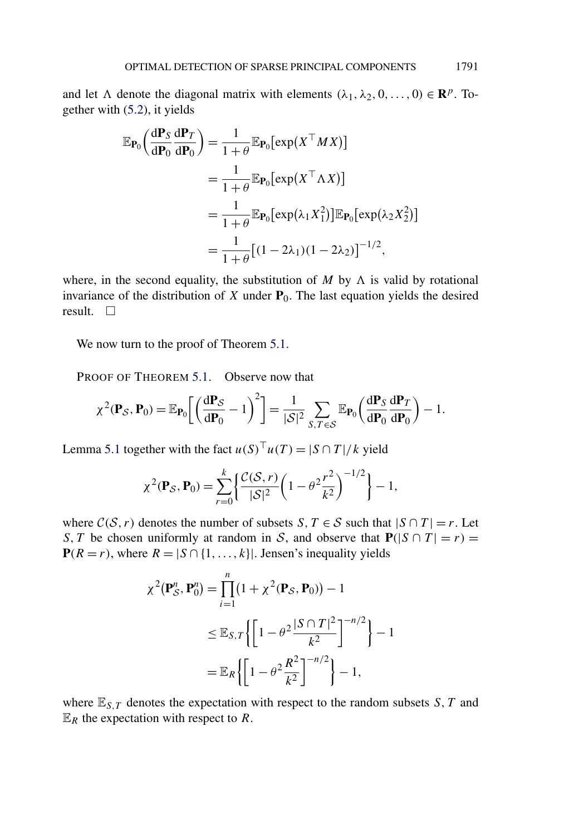and let  $\Lambda$  denote the diagonal matrix with elements  $(\lambda_1, \lambda_2, 0, \ldots, 0) \in \mathbb{R}^p$ . Together with [\(5.2\)](#page-10-0), it yields

$$
\mathbb{E}_{\mathbf{P}_0} \left( \frac{d\mathbf{P}_S}{d\mathbf{P}_0} \frac{d\mathbf{P}_T}{d\mathbf{P}_0} \right) = \frac{1}{1+\theta} \mathbb{E}_{\mathbf{P}_0} [\exp(X^\top M X)]
$$
  
\n
$$
= \frac{1}{1+\theta} \mathbb{E}_{\mathbf{P}_0} [\exp(X^\top \Lambda X)]
$$
  
\n
$$
= \frac{1}{1+\theta} \mathbb{E}_{\mathbf{P}_0} [\exp(\lambda_1 X_1^2)] \mathbb{E}_{\mathbf{P}_0} [\exp(\lambda_2 X_2^2)]
$$
  
\n
$$
= \frac{1}{1+\theta} [(1-2\lambda_1)(1-2\lambda_2)]^{-1/2},
$$

where, in the second equality, the substitution of  $M$  by  $\Lambda$  is valid by rotational invariance of the distribution of  $X$  under  $P_0$ . The last equation yields the desired result.  $\square$ 

We now turn to the proof of Theorem [5.1.](#page-9-0)

PROOF OF THEOREM [5.1.](#page-9-0) Observe now that

$$
\chi^2(\mathbf{P}_\mathcal{S}, \mathbf{P}_0) = \mathbb{E}_{\mathbf{P}_0} \left[ \left( \frac{\mathrm{d} \mathbf{P}_\mathcal{S}}{\mathrm{d} \mathbf{P}_0} - 1 \right)^2 \right] = \frac{1}{|\mathcal{S}|^2} \sum_{S, T \in \mathcal{S}} \mathbb{E}_{\mathbf{P}_0} \left( \frac{\mathrm{d} \mathbf{P}_S}{\mathrm{d} \mathbf{P}_0} \frac{\mathrm{d} \mathbf{P}_T}{\mathrm{d} \mathbf{P}_0} \right) - 1.
$$

Lemma [5.1](#page-10-0) together with the fact  $u(S)^{\top}u(T) = |S \cap T|/k$  yield

$$
\chi^{2}(\mathbf{P}_{\mathcal{S}}, \mathbf{P}_{0}) = \sum_{r=0}^{k} \left\{ \frac{\mathcal{C}(\mathcal{S}, r)}{|\mathcal{S}|^{2}} \left( 1 - \theta^{2} \frac{r^{2}}{k^{2}} \right)^{-1/2} \right\} - 1,
$$

where  $C(S, r)$  denotes the number of subsets *S*,  $T \in S$  such that  $|S \cap T| = r$ . Let *S*, *T* be chosen uniformly at random in *S*, and observe that  $P(|S \cap T| = r) =$  $P(R = r)$ , where  $R = |S \cap \{1, ..., k\}|$ . Jensen's inequality yields

$$
\chi^{2}(\mathbf{P}_{\mathcal{S}}^{n}, \mathbf{P}_{0}^{n}) = \prod_{i=1}^{n} (1 + \chi^{2}(\mathbf{P}_{\mathcal{S}}, \mathbf{P}_{0})) - 1
$$
  

$$
\leq \mathbb{E}_{S,T} \left\{ \left[ 1 - \theta^{2} \frac{|S \cap T|^{2}}{k^{2}} \right]^{-n/2} \right\} - 1
$$
  

$$
= \mathbb{E}_{R} \left\{ \left[ 1 - \theta^{2} \frac{R^{2}}{k^{2}} \right]^{-n/2} \right\} - 1,
$$

where  $\mathbb{E}_{S,T}$  denotes the expectation with respect to the random subsets *S*, *T* and  $\mathbb{E}_R$  the expectation with respect to R.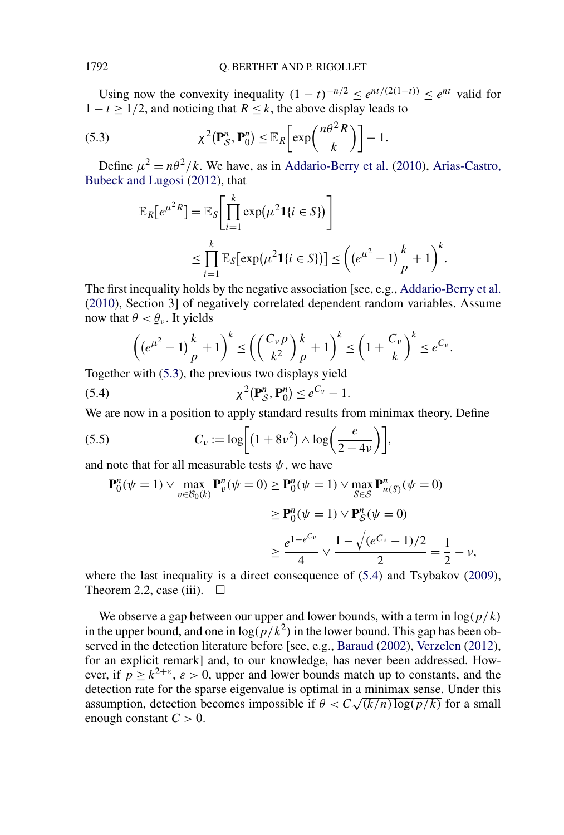<span id="page-12-0"></span>Using now the convexity inequality  $(1 - t)^{-n/2} < e^{nt/(2(1-t))} < e^{nt}$  valid for  $1 - t > 1/2$ , and noticing that  $R \le k$ , the above display leads to

(5.3) 
$$
\chi^2(\mathbf{P}_{\mathcal{S}}^n, \mathbf{P}_0^n) \leq \mathbb{E}_R \bigg[ \exp \bigg( \frac{n \theta^2 R}{k} \bigg) \bigg] - 1.
$$

Define  $u^2 = n\theta^2/k$ . We have, as in [Addario-Berry et al.](#page-31-0) [\(2010\)](#page-31-0), [Arias-Castro,](#page-32-0) [Bubeck and Lugosi](#page-32-0) [\(2012\)](#page-32-0), that

$$
\mathbb{E}_R[e^{\mu^2 R}] = \mathbb{E}_S \bigg[ \prod_{i=1}^k \exp(\mu^2 \mathbf{1}\{i \in S\}) \bigg]
$$
  
\n
$$
\leq \prod_{i=1}^k \mathbb{E}_S [\exp(\mu^2 \mathbf{1}\{i \in S\})] \leq \left( (e^{\mu^2} - 1) \frac{k}{p} + 1 \right)^k.
$$

The first inequality holds by the negative association [see, e.g., [Addario-Berry et al.](#page-31-0) [\(2010\)](#page-31-0), Section 3] of negatively correlated dependent random variables. Assume now that  $\theta < \theta_{\nu}$ . It yields

$$
\left( (e^{\mu^2} - 1) \frac{k}{p} + 1 \right)^k \le \left( \left( \frac{C_{\nu} p}{k^2} \right) \frac{k}{p} + 1 \right)^k \le \left( 1 + \frac{C_{\nu}}{k} \right)^k \le e^{C_{\nu}}.
$$

Together with (5.3), the previous two displays yield

$$
\chi^2(\mathbf{P}_\mathcal{S}^n, \mathbf{P}_0^n) \le e^{C_\nu} - 1.
$$

We are now in a position to apply standard results from minimax theory. Define

$$
(5.5) \t Cv := \log\bigg[(1+8v^2)\wedge \log\bigg(\frac{e}{2-4v}\bigg)\bigg],
$$

and note that for all measurable tests  $\psi$ , we have

$$
\begin{aligned} \mathbf{P}_0^n(\psi = 1) \vee \max_{v \in \mathcal{B}_0(k)} \mathbf{P}_v^n(\psi = 0) &\ge \mathbf{P}_0^n(\psi = 1) \vee \max_{S \in \mathcal{S}} \mathbf{P}_{u(S)}^n(\psi = 0) \\ &\ge \mathbf{P}_0^n(\psi = 1) \vee \mathbf{P}_{\mathcal{S}}^n(\psi = 0) \\ &\ge \frac{e^{1 - e^{C_v}}}{4} \vee \frac{1 - \sqrt{(e^{C_v} - 1)/2}}{2} = \frac{1}{2} - \nu, \end{aligned}
$$

where the last inequality is a direct consequence of (5.4) and Tsybakov [\(2009\)](#page-34-0), Theorem 2.2, case (iii).  $\Box$ 

We observe a gap between our upper and lower bounds, with a term in  $log(p/k)$ in the upper bound, and one in  $\log(p/k^2)$  in the lower bound. This gap has been ob-served in the detection literature before [see, e.g., [Baraud](#page-32-0) [\(2002\)](#page-32-0), [Verzelen](#page-34-0) [\(2012\)](#page-34-0), for an explicit remark] and, to our knowledge, has never been addressed. However, if  $p \ge k^{2+\epsilon}$ ,  $\varepsilon > 0$ , upper and lower bounds match up to constants, and the detection rate for the sparse eigenvalue is optimal in a minimax sense. Under this assumption, detection becomes impossible if  $\theta < C\sqrt{(k/n)\log(p/k)}$  for a small enough constant  $C > 0$ .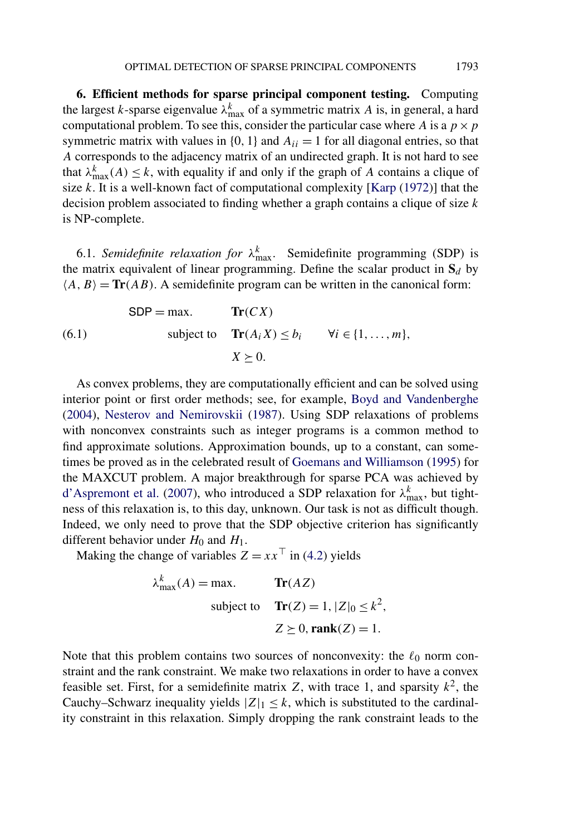<span id="page-13-0"></span>**6. Efficient methods for sparse principal component testing.** Computing the largest *k*-sparse eigenvalue  $\lambda_{\text{max}}^k$  of a symmetric matrix *A* is, in general, a hard computational problem. To see this, consider the particular case where *A* is a  $p \times p$ symmetric matrix with values in  $\{0, 1\}$  and  $A_{ii} = 1$  for all diagonal entries, so that *A* corresponds to the adjacency matrix of an undirected graph. It is not hard to see that  $\lambda_{\max}^k(A) \leq k$ , with equality if and only if the graph of *A* contains a clique of size *k*. It is a well-known fact of computational complexity [\[Karp](#page-34-0) [\(1972\)](#page-34-0)] that the decision problem associated to finding whether a graph contains a clique of size *k* is NP-complete.

6.1. *Semidefinite relaxation for*  $\lambda_{\text{max}}^k$ . Semidefinite programming (SDP) is the matrix equivalent of linear programming. Define the scalar product in  $S_d$  by  $\langle A, B \rangle = \text{Tr}(AB)$ . A semidefinite program can be written in the canonical form:

(6.1)

\n
$$
\text{SDP} = \max. \qquad \text{Tr}(CX)
$$
\n
$$
\text{subject to} \qquad \text{Tr}(A_i X) \le b_i \qquad \forall i \in \{1, \dots, m\},
$$
\n
$$
X \ge 0.
$$

As convex problems, they are computationally efficient and can be solved using interior point or first order methods; see, for example, [Boyd and Vandenberghe](#page-32-0) [\(2004\)](#page-32-0), [Nesterov and Nemirovskii](#page-34-0) [\(1987\)](#page-34-0). Using SDP relaxations of problems with nonconvex constraints such as integer programs is a common method to find approximate solutions. Approximation bounds, up to a constant, can sometimes be proved as in the celebrated result of [Goemans and Williamson](#page-33-0) [\(1995\)](#page-33-0) for the MAXCUT problem. A major breakthrough for sparse PCA was achieved by [d'Aspremont et al.](#page-33-0) [\(2007\)](#page-33-0), who introduced a SDP relaxation for  $\lambda_{\text{max}}^k$ , but tightness of this relaxation is, to this day, unknown. Our task is not as difficult though. Indeed, we only need to prove that the SDP objective criterion has significantly different behavior under  $H_0$  and  $H_1$ .

Making the change of variables  $Z = xx^\top$  in [\(4.2\)](#page-6-0) yields

$$
\lambda_{\max}^k(A) = \max. \qquad \mathbf{Tr}(AZ)
$$
  
subject to 
$$
\mathbf{Tr}(Z) = 1, |Z|_0 \le k^2,
$$

$$
Z \succeq 0, \mathbf{rank}(Z) = 1.
$$

Note that this problem contains two sources of nonconvexity: the  $\ell_0$  norm constraint and the rank constraint. We make two relaxations in order to have a convex feasible set. First, for a semidefinite matrix  $Z$ , with trace 1, and sparsity  $k^2$ , the Cauchy–Schwarz inequality yields  $|Z|_1 \leq k$ , which is substituted to the cardinality constraint in this relaxation. Simply dropping the rank constraint leads to the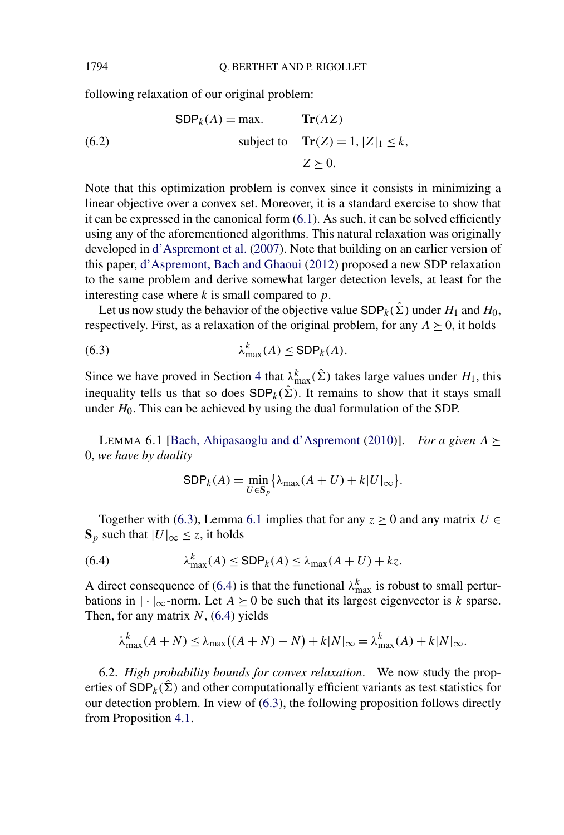following relaxation of our original problem:

(6.2)

\n
$$
\text{SDP}_k(A) = \max. \qquad \text{Tr}(AZ)
$$
\nsubject to

\n
$$
\text{Tr}(Z) = 1, |Z|_1 \le k,
$$
\n
$$
Z \ge 0.
$$

Note that this optimization problem is convex since it consists in minimizing a linear objective over a convex set. Moreover, it is a standard exercise to show that it can be expressed in the canonical form [\(6.1\)](#page-13-0). As such, it can be solved efficiently using any of the aforementioned algorithms. This natural relaxation was originally developed in [d'Aspremont et al.](#page-33-0) [\(2007\)](#page-33-0). Note that building on an earlier version of this paper, [d'Aspremont, Bach and Ghaoui](#page-33-0) [\(2012\)](#page-33-0) proposed a new SDP relaxation to the same problem and derive somewhat larger detection levels, at least for the interesting case where *k* is small compared to *p*.

Let us now study the behavior of the objective value  $SDP_k(\hat{\Sigma})$  under  $H_1$  and  $H_0$ , respectively. First, as a relaxation of the original problem, for any  $A \geq 0$ , it holds

(6.3) 
$$
\lambda_{\max}^k(A) \leq \text{SDP}_k(A).
$$

Since we have proved in Section [4](#page-6-0) that  $\lambda_{\text{max}}^k(\hat{\Sigma})$  takes large values under  $H_1$ , this inequality tells us that so does  $SDP_k(\hat{\Sigma})$ . It remains to show that it stays small under  $H_0$ . This can be achieved by using the dual formulation of the SDP.

LEMMA 6.1 [\[Bach, Ahipasaoglu and d'Aspremont](#page-32-0) [\(2010\)](#page-32-0)]. *For a given*  $A \succeq$ 0, *we have by duality*

$$
\text{SDP}_k(A) = \min_{U \in \mathbf{S}_p} \{ \lambda_{\max}(A + U) + k|U|_{\infty} \}.
$$

Together with (6.3), Lemma 6.1 implies that for any  $z \ge 0$  and any matrix  $U \in$  $\mathbf{S}_p$  such that  $|U|_{\infty} \leq z$ , it holds

(6.4) 
$$
\lambda_{\max}^k(A) \leq \text{SDP}_k(A) \leq \lambda_{\max}(A+U) + kz.
$$

A direct consequence of (6.4) is that the functional  $\lambda_{\text{max}}^k$  is robust to small perturbations in  $|\cdot|_{\infty}$ -norm. Let  $A \succeq 0$  be such that its largest eigenvector is *k* sparse. Then, for any matrix *N*, (6.4) yields

$$
\lambda_{\max}^k(A+N) \leq \lambda_{\max}((A+N)-N) + k|N|_{\infty} = \lambda_{\max}^k(A) + k|N|_{\infty}.
$$

6.2. *High probability bounds for convex relaxation*. We now study the properties of  $SDP_k(\hat{\Sigma})$  and other computationally efficient variants as test statistics for our detection problem. In view of (6.3), the following proposition follows directly from Proposition [4.1.](#page-6-0)

<span id="page-14-0"></span>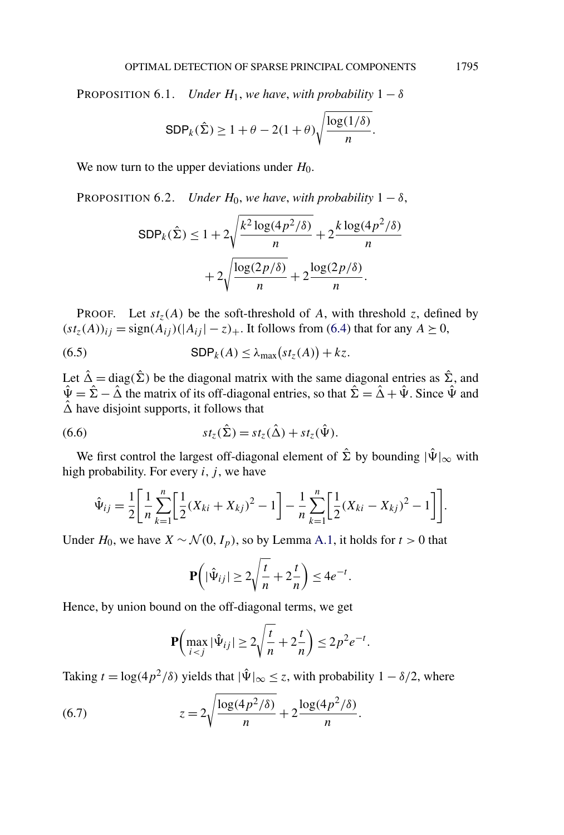<span id="page-15-0"></span>PROPOSITION 6.1. *Under*  $H_1$ , *we have*, *with probability*  $1 - \delta$ 

$$
\text{SDP}_k(\hat{\Sigma}) \ge 1 + \theta - 2(1+\theta)\sqrt{\frac{\log(1/\delta)}{n}}.
$$

We now turn to the upper deviations under *H*<sub>0</sub>.

PROPOSITION 6.2. *Under*  $H_0$ , *we have*, *with probability*  $1 - \delta$ ,

$$
\text{SDP}_k(\hat{\Sigma}) \le 1 + 2\sqrt{\frac{k^2 \log(4p^2/\delta)}{n}} + 2\frac{k \log(4p^2/\delta)}{n}
$$

$$
+ 2\sqrt{\frac{\log(2p/\delta)}{n}} + 2\frac{\log(2p/\delta)}{n}.
$$

PROOF. Let  $st_z(A)$  be the soft-threshold of A, with threshold *z*, defined by  $(st_z(A))_{ij}$  = sign $(A_{ij})(|A_{ij}| - z)$ . It follows from [\(6.4\)](#page-14-0) that for any  $A \ge 0$ ,

(6.5) 
$$
\mathsf{SDP}_k(A) \leq \lambda_{\max}(st_z(A)) + kz.
$$

Let  $\hat{\Delta} = \text{diag}(\hat{\Sigma})$  be the diagonal matrix with the same diagonal entries as  $\hat{\Sigma}$ , and  $\hat{\Psi} = \hat{\Sigma} - \hat{\Delta}$  the matrix of its off-diagonal entries, so that  $\hat{\Sigma} = \hat{\Delta} + \hat{\Psi}$ . Since  $\hat{\Psi}$  and  $\hat{\Delta}$  have disjoint supports, it follows that

(6.6) 
$$
st_{z}(\hat{\Sigma}) = st_{z}(\hat{\Delta}) + st_{z}(\hat{\Psi}).
$$

We first control the largest off-diagonal element of  $\hat{\Sigma}$  by bounding  $|\hat{\Psi}|_{\infty}$  with high probability. For every  $i, j$ , we have

$$
\hat{\Psi}_{ij} = \frac{1}{2} \left[ \frac{1}{n} \sum_{k=1}^{n} \left[ \frac{1}{2} (X_{ki} + X_{kj})^2 - 1 \right] - \frac{1}{n} \sum_{k=1}^{n} \left[ \frac{1}{2} (X_{ki} - X_{kj})^2 - 1 \right] \right].
$$

Under *H*<sub>0</sub>, we have *X* ∼  $\mathcal{N}(0, I_p)$ , so by Lemma [A.1,](#page-30-0) it holds for *t* > 0 that

$$
\mathbf{P}\left(|\hat{\Psi}_{ij}| \ge 2\sqrt{\frac{t}{n}} + 2\frac{t}{n}\right) \le 4e^{-t}.
$$

Hence, by union bound on the off-diagonal terms, we get

$$
\mathbf{P}\left(\max_{i < j} |\hat{\Psi}_{ij}| \ge 2\sqrt{\frac{t}{n}} + 2\frac{t}{n}\right) \le 2p^2 e^{-t}.
$$

Taking  $t = \log(4p^2/\delta)$  yields that  $|\hat{\Psi}|_{\infty} \leq z$ , with probability  $1 - \delta/2$ , where

(6.7) 
$$
z = 2\sqrt{\frac{\log(4p^2/\delta)}{n}} + 2\frac{\log(4p^2/\delta)}{n}.
$$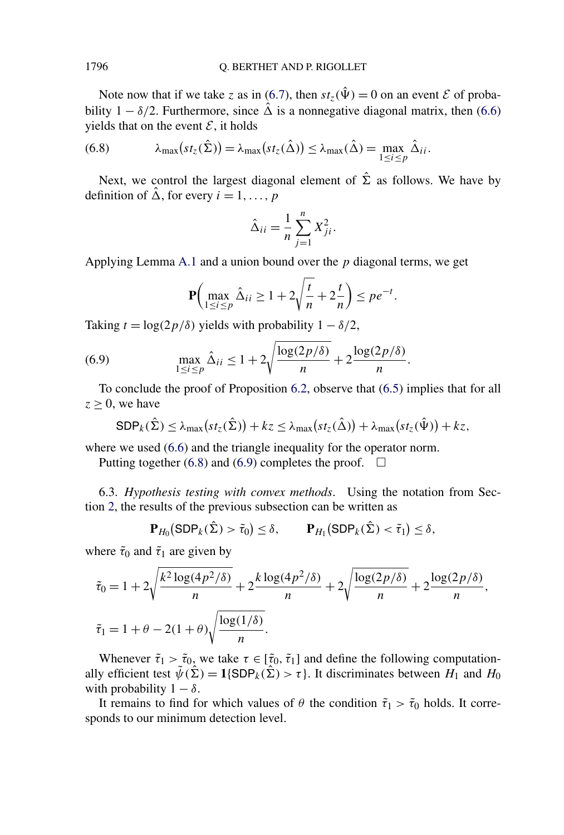Note now that if we take *z* as in [\(6.7\)](#page-15-0), then  $st_z(\hat{\Psi}) = 0$  on an event *E* of probability  $1 - \delta/2$ . Furthermore, since  $\hat{\Delta}$  is a nonnegative diagonal matrix, then [\(6.6\)](#page-15-0) yields that on the event  $\mathcal{E}$ , it holds

(6.8) 
$$
\lambda_{\max}(st_{z}(\hat{\Sigma})) = \lambda_{\max}(st_{z}(\hat{\Delta})) \leq \lambda_{\max}(\hat{\Delta}) = \max_{1 \leq i \leq p} \hat{\Delta}_{ii}.
$$

Next, we control the largest diagonal element of  $\hat{\Sigma}$  as follows. We have by definition of  $\hat{\Delta}$ , for every  $i = 1, \ldots, p$ 

$$
\hat{\Delta}_{ii} = \frac{1}{n} \sum_{j=1}^{n} X_{ji}^2.
$$

Applying Lemma [A.1](#page-30-0) and a union bound over the *p* diagonal terms, we get

$$
\mathbf{P}\left(\max_{1 \le i \le p} \hat{\Delta}_{ii} \ge 1 + 2\sqrt{\frac{t}{n}} + 2\frac{t}{n}\right) \le pe^{-t}.
$$

Taking  $t = \log(2p/\delta)$  yields with probability  $1 - \delta/2$ ,

(6.9) 
$$
\max_{1 \le i \le p} \hat{\Delta}_{ii} \le 1 + 2\sqrt{\frac{\log(2p/\delta)}{n}} + 2\frac{\log(2p/\delta)}{n}.
$$

To conclude the proof of Proposition [6.2,](#page-15-0) observe that [\(6.5\)](#page-15-0) implies that for all  $z \geq 0$ , we have

$$
\text{SDP}_k(\hat{\Sigma}) \leq \lambda_{\max}(st_z(\hat{\Sigma})) + kz \leq \lambda_{\max}(st_z(\hat{\Delta})) + \lambda_{\max}(st_z(\hat{\Psi})) + kz,
$$

where we used  $(6.6)$  and the triangle inequality for the operator norm.

Putting together (6.8) and (6.9) completes the proof.  $\Box$ 

6.3. *Hypothesis testing with convex methods*. Using the notation from Section [2,](#page-3-0) the results of the previous subsection can be written as

$$
\mathbf{P}_{H_0}(\text{SDP}_k(\hat{\Sigma}) > \tilde{\tau}_0) \le \delta, \qquad \mathbf{P}_{H_1}(\text{SDP}_k(\hat{\Sigma}) < \tilde{\tau}_1) \le \delta,
$$

where  $\tilde{\tau}_0$  and  $\tilde{\tau}_1$  are given by

$$
\tilde{\tau}_0 = 1 + 2\sqrt{\frac{k^2 \log(4p^2/\delta)}{n}} + 2\frac{k \log(4p^2/\delta)}{n} + 2\sqrt{\frac{\log(2p/\delta)}{n}} + 2\frac{\log(2p/\delta)}{n},
$$
  

$$
\tilde{\tau}_1 = 1 + \theta - 2(1 + \theta)\sqrt{\frac{\log(1/\delta)}{n}}.
$$

Whenever  $\tilde{\tau}_1 > \tilde{\tau}_0$ , we take  $\tau \in [\tilde{\tau}_0, \tilde{\tau}_1]$  and define the following computationally efficient test  $\tilde{\psi}(\hat{\Sigma}) = 1$ {SDP<sub>k</sub>( $\tilde{\Sigma}$ ) >  $\tau$ }. It discriminates between  $H_1$  and  $H_0$ with probability  $1 - \delta$ .

It remains to find for which values of  $\theta$  the condition  $\tilde{\tau}_1 > \tilde{\tau}_0$  holds. It corresponds to our minimum detection level.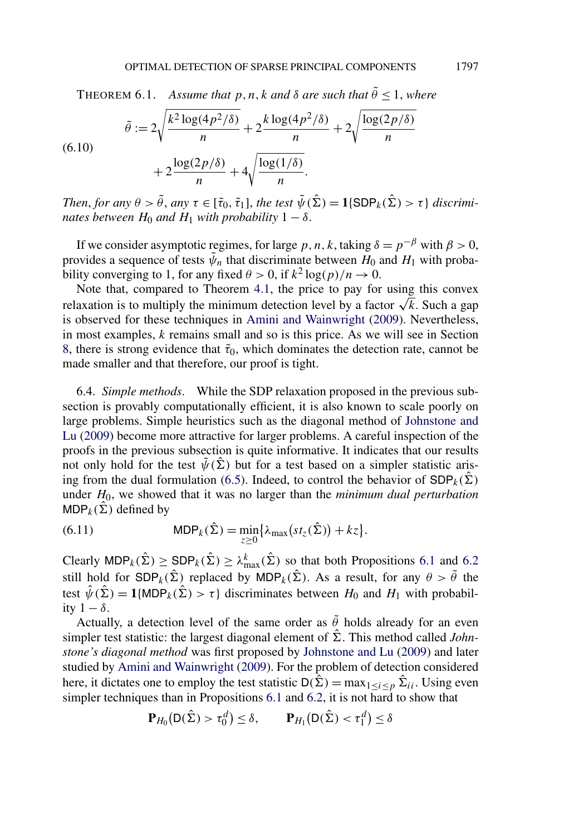<span id="page-17-0"></span>THEOREM 6.1. *Assume that*  $p, n, k$  *and*  $\delta$  *are such that*  $\tilde{\theta} \leq 1$ *, where* 

(6.10)  

$$
\tilde{\theta} := 2\sqrt{\frac{k^2 \log(4p^2/\delta)}{n}} + 2\frac{k \log(4p^2/\delta)}{n} + 2\sqrt{\frac{\log(2p/\delta)}{n}} + 2\sqrt{\frac{\log(2p/\delta)}{n}} + 2\sqrt{\frac{\log(2p/\delta)}{n}}.
$$

*Then, for any*  $\theta > \tilde{\theta}$ *, any*  $\tau \in [\tilde{\tau}_0, \tilde{\tau}_1]$ *, the test*  $\tilde{\psi}(\hat{\Sigma}) = 1$ {SDP<sub>*k*</sub>( $\hat{\Sigma}$ ) >  $\tau$ } *discriminates between*  $H_0$  *and*  $H_1$  *with probability*  $1 - \delta$ .

If we consider asymptotic regimes, for large *p*, *n*, *k*, taking  $\delta = p^{-\beta}$  with  $\beta > 0$ , provides a sequence of tests  $\tilde{\psi}_n$  that discriminate between  $H_0$  and  $H_1$  with probability converging to 1, for any fixed  $\theta > 0$ , if  $k^2 \log(p)/n \to 0$ .

Note that, compared to Theorem [4.1,](#page-9-0) the price to pay for using this convex relaxation is to multiply the minimum detection level by a factor  $\sqrt{k}$ . Such a gap is observed for these techniques in [Amini and Wainwright](#page-32-0) [\(2009\)](#page-32-0). Nevertheless, in most examples, *k* remains small and so is this price. As we will see in Section [8,](#page-23-0) there is strong evidence that  $\tilde{\tau}_0$ , which dominates the detection rate, cannot be made smaller and that therefore, our proof is tight.

6.4. *Simple methods*. While the SDP relaxation proposed in the previous subsection is provably computationally efficient, it is also known to scale poorly on large problems. Simple heuristics such as the diagonal method of [Johnstone and](#page-33-0) [Lu](#page-33-0) [\(2009\)](#page-33-0) become more attractive for larger problems. A careful inspection of the proofs in the previous subsection is quite informative. It indicates that our results not only hold for the test  $\tilde{\psi}(\tilde{\Sigma})$  but for a test based on a simpler statistic aris-ing from the dual formulation [\(6.5\)](#page-15-0). Indeed, to control the behavior of  $SDP_k(\hat{\Sigma})$ under *H*0, we showed that it was no larger than the *minimum dual perturbation* MDP<sub>k</sub>( $\hat{\Sigma}$ ) defined by

(6.11) 
$$
\text{MDP}_k(\hat{\Sigma}) = \min_{z \geq 0} \{ \lambda_{\max}(st_z(\hat{\Sigma})) + kz \}.
$$

Clearly  $MDP_k(\hat{\Sigma}) \geq SDP_k(\hat{\Sigma}) \geq \lambda_{\max}^k(\hat{\Sigma})$  so that both Propositions [6.1](#page-15-0) and [6.2](#page-15-0) still hold for  $SDP_k(\hat{\Sigma})$  replaced by  $MDP_k(\hat{\Sigma})$ . As a result, for any  $\theta > \tilde{\theta}$  the test  $\hat{\psi}(\hat{\Sigma}) = 1$ {MDP<sub>k</sub>( $\hat{\Sigma}$ ) >  $\tau$ } discriminates between  $H_0$  and  $H_1$  with probability  $1 - \delta$ .

Actually, a detection level of the same order as  $\tilde{\theta}$  holds already for an even simpler test statistic: the largest diagonal element of  $\hat{\Sigma}$ . This method called *Johnstone's diagonal method* was first proposed by [Johnstone and Lu](#page-33-0) [\(2009\)](#page-33-0) and later studied by [Amini and Wainwright](#page-32-0) [\(2009\)](#page-32-0). For the problem of detection considered here, it dictates one to employ the test statistic  $D(\hat{\Sigma}) = \max_{1 \le i \le p} \hat{\Sigma}_{ii}$ . Using even simpler techniques than in Propositions [6.1](#page-15-0) and [6.2,](#page-15-0) it is not hard to show that

$$
\mathbf{P}_{H_0}(\mathsf{D}(\hat{\Sigma}) > \tau_0^d) \le \delta, \qquad \mathbf{P}_{H_1}(\mathsf{D}(\hat{\Sigma}) < \tau_1^d) \le \delta
$$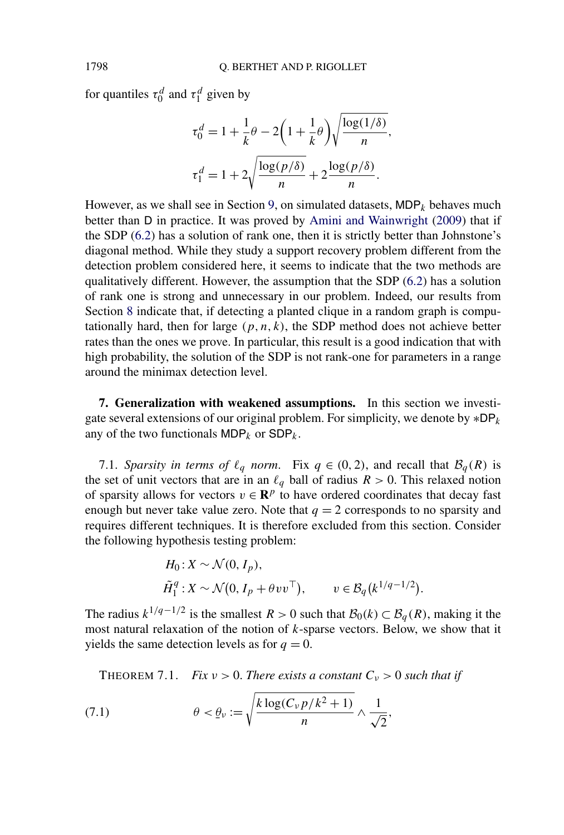for quantiles  $\tau_0^d$  and  $\tau_1^d$  given by

$$
\tau_0^d = 1 + \frac{1}{k}\theta - 2\left(1 + \frac{1}{k}\theta\right)\sqrt{\frac{\log(1/\delta)}{n}},
$$
  

$$
\tau_1^d = 1 + 2\sqrt{\frac{\log(p/\delta)}{n}} + 2\frac{\log(p/\delta)}{n}.
$$

However, as we shall see in Section [9,](#page-28-0) on simulated datasets,  $MDP_k$  behaves much better than D in practice. It was proved by [Amini and Wainwright](#page-32-0) [\(2009\)](#page-32-0) that if the SDP [\(6.2\)](#page-14-0) has a solution of rank one, then it is strictly better than Johnstone's diagonal method. While they study a support recovery problem different from the detection problem considered here, it seems to indicate that the two methods are qualitatively different. However, the assumption that the SDP [\(6.2\)](#page-14-0) has a solution of rank one is strong and unnecessary in our problem. Indeed, our results from Section [8](#page-23-0) indicate that, if detecting a planted clique in a random graph is computationally hard, then for large  $(p, n, k)$ , the SDP method does not achieve better rates than the ones we prove. In particular, this result is a good indication that with high probability, the solution of the SDP is not rank-one for parameters in a range around the minimax detection level.

**7. Generalization with weakened assumptions.** In this section we investigate several extensions of our original problem. For simplicity, we denote by ∗DP*<sup>k</sup>* any of the two functionals  $MDP_k$  or  $SDP_k$ .

7.1. *Sparsity in terms of*  $\ell_q$  *norm.* Fix  $q \in (0, 2)$ , and recall that  $\mathcal{B}_q(R)$  is the set of unit vectors that are in an  $\ell_q$  ball of radius  $R > 0$ . This relaxed notion of sparsity allows for vectors  $v \in \mathbb{R}^p$  to have ordered coordinates that decay fast enough but never take value zero. Note that  $q = 2$  corresponds to no sparsity and requires different techniques. It is therefore excluded from this section. Consider the following hypothesis testing problem:

$$
H_0: X \sim \mathcal{N}(0, I_p),
$$
  
\n
$$
\tilde{H}_1^q: X \sim \mathcal{N}(0, I_p + \theta v v^\top), \qquad v \in \mathcal{B}_q(k^{1/q-1/2}).
$$

The radius  $k^{1/q-1/2}$  is the smallest  $R > 0$  such that  $\mathcal{B}_0(k) \subset \mathcal{B}_q(R)$ , making it the most natural relaxation of the notion of *k*-sparse vectors. Below, we show that it yields the same detection levels as for  $q = 0$ .

**THEOREM 7.1.** *Fix*  $v > 0$ *. There exists a constant*  $C_v > 0$  *such that if* 

(7.1) 
$$
\theta < \underline{\theta}_{\nu} := \sqrt{\frac{k \log(C_{\nu} p / k^2 + 1)}{n}} \wedge \frac{1}{\sqrt{2}},
$$

<span id="page-18-0"></span>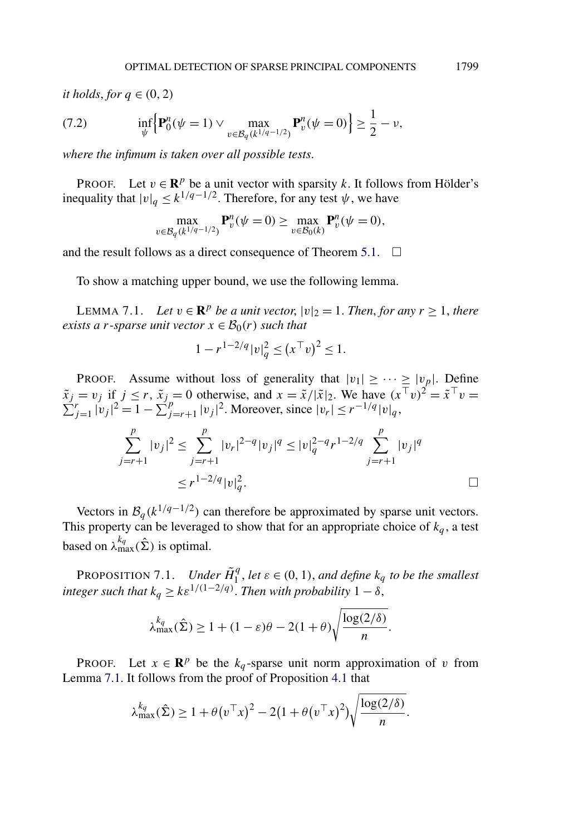<span id="page-19-0"></span>*it holds, for*  $q \in (0, 2)$ 

(7.2) 
$$
\inf_{\psi} \left\{ \mathbf{P}_0^n(\psi = 1) \vee \max_{v \in \mathcal{B}_q(k^{1/q-1/2})} \mathbf{P}_v^n(\psi = 0) \right\} \ge \frac{1}{2} - \nu,
$$

*where the infimum is taken over all possible tests*.

PROOF. Let  $v \in \mathbb{R}^p$  be a unit vector with sparsity *k*. It follows from Hölder's inequality that  $|v|_q \leq k^{1/q-1/2}$ . Therefore, for any test  $\psi$ , we have

$$
\max_{v \in \mathcal{B}_q(k^{1/q-1/2})} \mathbf{P}_v^n(\psi = 0) \ge \max_{v \in \mathcal{B}_0(k)} \mathbf{P}_v^n(\psi = 0),
$$

and the result follows as a direct consequence of Theorem [5.1.](#page-9-0)  $\Box$ 

To show a matching upper bound, we use the following lemma.

LEMMA 7.1. *Let v* ∈ **R**<sup>*p*</sup> *be a unit vector*,  $|v|_2 = 1$ *. Then, for any r* ≥ 1*, there exists a r-sparse unit vector*  $x \in B_0(r)$  *such that* 

$$
1 - r^{1 - 2/q} |v|_q^2 \le (x^\top v)^2 \le 1.
$$

PROOF. Assume without loss of generality that  $|v_1| \geq \cdots \geq |v_p|$ . Define  $\tilde{x}_j = v_j$  if  $j \le r$ ,  $\tilde{x}_j = 0$  otherwise, and  $x = \tilde{x}/|\tilde{x}|_2$ . We have  $(x^\top v)^2 = \tilde{x}^\top v =$  $\sum_{j=1}^{r} |v_j|^2 = 1 - \sum_{j=r+1}^{r} |v_j|^2$ . Moreover, since  $|v_r| \leq r^{-1/q} |v|_q$ ,

$$
\sum_{j=r+1}^{p} |v_j|^2 \le \sum_{j=r+1}^{p} |v_r|^{2-q} |v_j|^q \le |v|_q^{2-q} r^{1-2/q} \sum_{j=r+1}^{p} |v_j|^q
$$
  

$$
\le r^{1-2/q} |v|_q^2.
$$

Vectors in  $\mathcal{B}_q(k^{1/q-1/2})$  can therefore be approximated by sparse unit vectors. This property can be leveraged to show that for an appropriate choice of  $k_q$ , a test based on  $\lambda_{\max}^{k_q}(\hat{\Sigma})$  is optimal.

PROPOSITION 7.1. *Under*  $\tilde{H}_1^q$ , *let*  $\varepsilon \in (0,1)$ , *and define*  $k_q$  *to be the smallest integer such that*  $k_q \geq k \varepsilon^{1/(1-2/q)}$ . *Then with probability*  $1 - \delta$ ,

$$
\lambda_{\max}^{k_q}(\hat{\Sigma}) \ge 1 + (1 - \varepsilon)\theta - 2(1 + \theta)\sqrt{\frac{\log(2/\delta)}{n}}.
$$

PROOF. Let  $x \in \mathbb{R}^p$  be the  $k_q$ -sparse unit norm approximation of *v* from Lemma 7.1. It follows from the proof of Proposition [4.1](#page-6-0) that

$$
\lambda_{\max}^{k_q}(\hat{\Sigma}) \ge 1 + \theta(v^\top x)^2 - 2(1 + \theta(v^\top x)^2)\sqrt{\frac{\log(2/\delta)}{n}}.
$$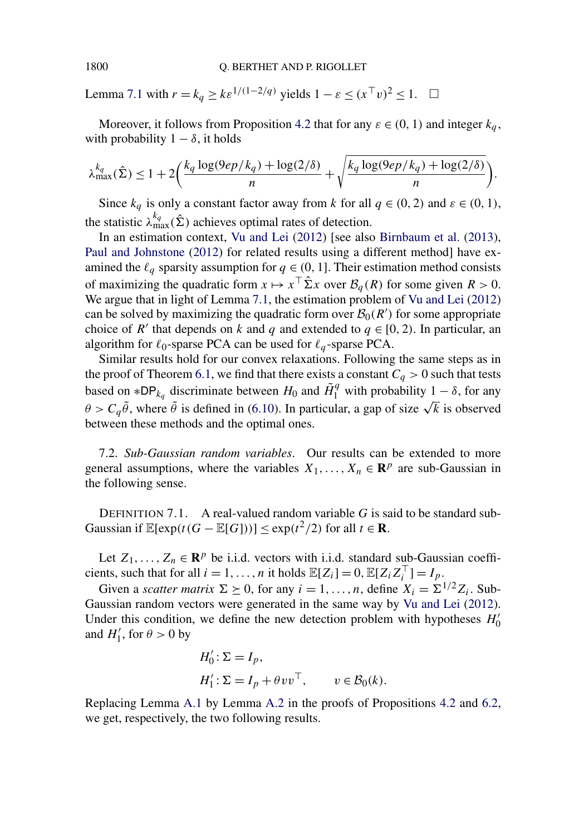Lemma [7.1](#page-19-0) with  $r = k_q \geq k \varepsilon^{1/(1-2/q)}$  yields  $1 - \varepsilon \leq (x^\top v)^2 \leq 1$ .  $\Box$ 

Moreover, it follows from Proposition [4.2](#page-7-0) that for any  $\varepsilon \in (0, 1)$  and integer  $k_a$ , with probability  $1 - \delta$ , it holds

$$
\lambda_{\max}^{k_q}(\hat{\Sigma}) \le 1 + 2\bigg(\frac{k_q \log(9ep/k_q) + \log(2/\delta)}{n} + \sqrt{\frac{k_q \log(9ep/k_q) + \log(2/\delta)}{n}}\bigg).
$$

Since  $k_q$  is only a constant factor away from *k* for all  $q \in (0, 2)$  and  $\varepsilon \in (0, 1)$ , the statistic  $\lambda_{\max}^{k_q}(\hat{\Sigma})$  achieves optimal rates of detection.

In an estimation context, [Vu and Lei](#page-35-0) [\(2012\)](#page-35-0) [see also [Birnbaum et al.](#page-32-0) [\(2013\)](#page-32-0), [Paul and Johnstone](#page-34-0) [\(2012\)](#page-34-0) for related results using a different method] have examined the  $\ell_q$  sparsity assumption for  $q \in (0, 1]$ . Their estimation method consists of maximizing the quadratic form  $x \mapsto x^{\top} \hat{\Sigma} x$  over  $\mathcal{B}_q(R)$  for some given  $R > 0$ . We argue that in light of Lemma [7.1,](#page-19-0) the estimation problem of [Vu and Lei](#page-35-0) [\(2012\)](#page-35-0) can be solved by maximizing the quadratic form over  $\mathcal{B}_0(R')$  for some appropriate choice of *R'* that depends on *k* and *q* and extended to  $q \in [0, 2)$ . In particular, an algorithm for  $\ell_0$ -sparse PCA can be used for  $\ell_q$ -sparse PCA.

Similar results hold for our convex relaxations. Following the same steps as in the proof of Theorem [6.1,](#page-17-0) we find that there exists a constant  $C_q > 0$  such that tests based on  $*DP_{k_q}$  discriminate between  $H_0$  and  $\tilde{H}_1^q$  with probability  $1 - \delta$ , for any  $\theta > C_q \tilde{\theta}$ , where  $\tilde{\theta}$  is defined in [\(6.10\)](#page-17-0). In particular, a gap of size  $\sqrt{k}$  is observed between these methods and the optimal ones.

7.2. *Sub-Gaussian random variables*. Our results can be extended to more general assumptions, where the variables  $X_1, \ldots, X_n \in \mathbb{R}^p$  are sub-Gaussian in the following sense.

DEFINITION 7.1. A real-valued random variable *G* is said to be standard sub-Gaussian if  $\mathbb{E}[\exp(t(G - \mathbb{E}[G]))] \leq \exp(t^2/2)$  for all  $t \in \mathbb{R}$ .

Let  $Z_1, \ldots, Z_n \in \mathbb{R}^p$  be i.i.d. vectors with i.i.d. standard sub-Gaussian coefficients, such that for all  $i = 1, ..., n$  it holds  $\mathbb{E}[Z_i] = 0, \mathbb{E}[Z_i Z_i^\top] = I_p$ .

Given a *scatter matrix*  $\Sigma \succeq 0$ , for any  $i = 1, ..., n$ , define  $X_i = \Sigma^{1/2} Z_i$ . Sub-Gaussian random vectors were generated in the same way by [Vu and Lei](#page-35-0) [\(2012\)](#page-35-0). Under this condition, we define the new detection problem with hypotheses  $H_0'$ and  $H'_1$ , for  $\theta > 0$  by

$$
H'_0: \Sigma = I_p,
$$
  
\n
$$
H'_1: \Sigma = I_p + \theta v v^\top, \qquad v \in \mathcal{B}_0(k).
$$

Replacing Lemma [A.1](#page-30-0) by Lemma [A.2](#page-30-0) in the proofs of Propositions [4.2](#page-7-0) and [6.2,](#page-15-0) we get, respectively, the two following results.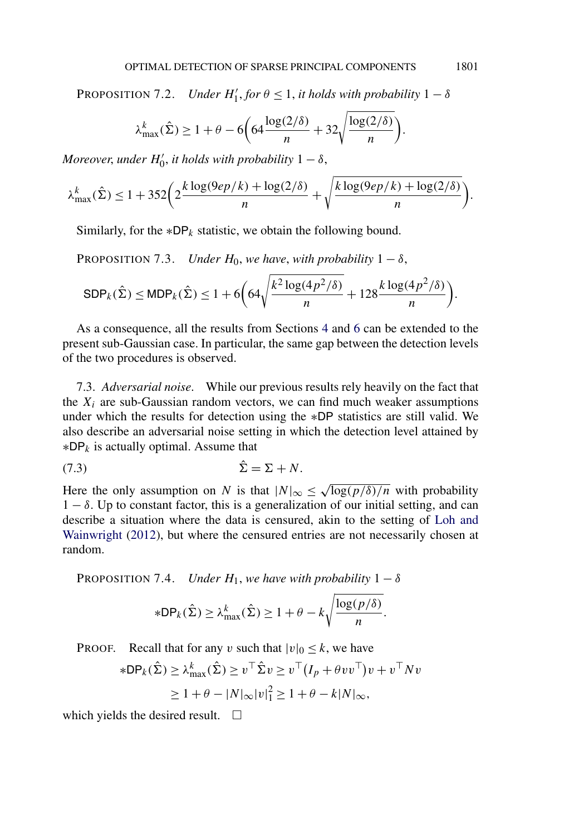<span id="page-21-0"></span>PROPOSITION 7.2. *Under*  $H'_1$ , *for*  $\theta \le 1$ , *it holds with probability*  $1 - \delta$ 

$$
\lambda_{\max}^k(\hat{\Sigma}) \ge 1 + \theta - 6\left(64\frac{\log(2/\delta)}{n} + 32\sqrt{\frac{\log(2/\delta)}{n}}\right).
$$

*Moreover, under*  $H'_0$ *, it holds with probability*  $1 - \delta$ *,* 

$$
\lambda_{\max}^k(\hat{\Sigma}) \le 1 + 352 \bigg( 2 \frac{k \log(9ep/k) + \log(2/\delta)}{n} + \sqrt{\frac{k \log(9ep/k) + \log(2/\delta)}{n}} \bigg).
$$

Similarly, for the  $*DP_k$  statistic, we obtain the following bound.

PROPOSITION 7.3. *Under*  $H_0$ , *we have*, *with probability*  $1 - \delta$ ,

$$
\text{SDP}_k(\hat{\Sigma}) \le \text{MDP}_k(\hat{\Sigma}) \le 1 + 6\left(64\sqrt{\frac{k^2\log(4p^2/\delta)}{n}} + 128\frac{k\log(4p^2/\delta)}{n}\right).
$$

As a consequence, all the results from Sections [4](#page-6-0) and [6](#page-13-0) can be extended to the present sub-Gaussian case. In particular, the same gap between the detection levels of the two procedures is observed.

7.3. *Adversarial noise*. While our previous results rely heavily on the fact that the  $X_i$  are sub-Gaussian random vectors, we can find much weaker assumptions under which the results for detection using the ∗DP statistics are still valid. We also describe an adversarial noise setting in which the detection level attained by ∗DP*<sup>k</sup>* is actually optimal. Assume that

$$
(7.3) \qquad \qquad \hat{\Sigma} = \Sigma + N.
$$

Here the only assumption on *N* is that  $|N|_{\infty} \leq \sqrt{\log(p/\delta)/n}$  with probability  $1 - \delta$ . Up to constant factor, this is a generalization of our initial setting, and can describe a situation where the data is censured, akin to the setting of [Loh and](#page-34-0) [Wainwright](#page-34-0) [\(2012\)](#page-34-0), but where the censured entries are not necessarily chosen at random.

**PROPOSITION 7.4.** *Under*  $H_1$ , *we have with probability*  $1 - \delta$ 

$$
*DP_k(\hat{\Sigma}) \ge \lambda_{\max}^k(\hat{\Sigma}) \ge 1 + \theta - k \sqrt{\frac{\log(p/\delta)}{n}}.
$$

**PROOF.** Recall that for any *v* such that  $|v|_0 \leq k$ , we have

$$
*DP_k(\hat{\Sigma}) \ge \lambda_{\max}^k(\hat{\Sigma}) \ge v^\top \hat{\Sigma} v \ge v^\top (I_p + \theta v v^\top) v + v^\top N v
$$
  
 
$$
\ge 1 + \theta - |N|_{\infty} |v|_1^2 \ge 1 + \theta - k|N|_{\infty},
$$

which yields the desired result.  $\Box$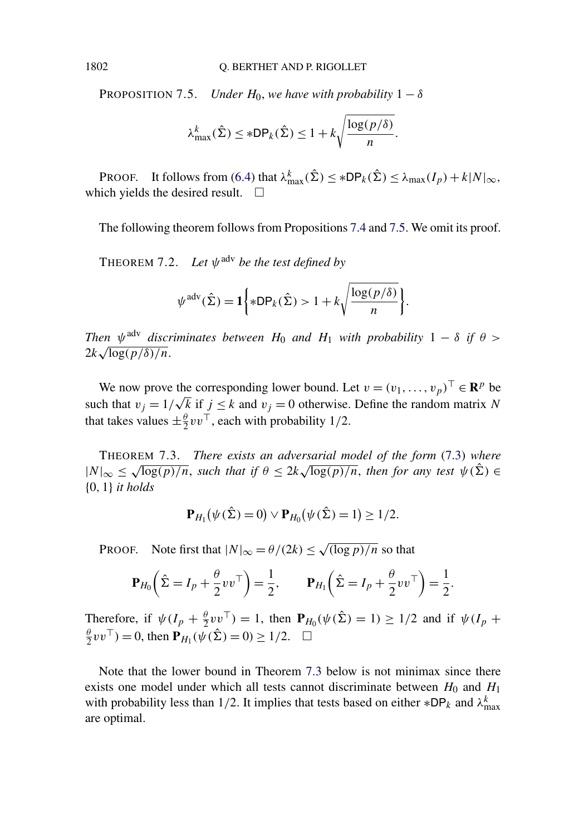**PROPOSITION 7.5.** *Under*  $H_0$ , *we have with probability*  $1 - \delta$ 

$$
\lambda_{\max}^k(\hat{\Sigma}) \leq *DP_k(\hat{\Sigma}) \leq 1 + k\sqrt{\frac{\log(p/\delta)}{n}}.
$$

PROOF. It follows from [\(6.4\)](#page-14-0) that  $\lambda_{\max}^k(\hat{\Sigma}) \leq *DP_k(\hat{\Sigma}) \leq \lambda_{\max}(I_p) + k|N|_{\infty}$ , which yields the desired result.  $\Box$ 

The following theorem follows from Propositions [7.4](#page-21-0) and 7.5. We omit its proof.

THEOREM 7.2. *Let ψ*adv *be the test defined by*

$$
\psi^{\text{adv}}(\hat{\Sigma}) = \mathbf{1} \bigg\{ * \mathsf{DP}_k(\hat{\Sigma}) > 1 + k \sqrt{\frac{\log(p/\delta)}{n}} \bigg\}.
$$

*Then*  $\psi$ <sup>adv</sup> *discriminates between*  $H_0$  *and*  $H_1$  *with probability* 1 − *δ if*  $\theta$  > 2*k* <sup>√</sup>log*(p/δ)/n.*

We now prove the corresponding lower bound. Let  $v = (v_1, \ldots, v_p)^\top \in \mathbb{R}^p$  be we now prove the corresponding lower bound. Let  $v = (v_1, ..., v_p) \in \mathbb{R}^r$  be<br>such that  $v_j = 1/\sqrt{k}$  if  $j \le k$  and  $v_j = 0$  otherwise. Define the random matrix *N* that takes values  $\pm \frac{\theta}{2} v v^\top$ , each with probability 1/2.

THEOREM 7.3. *There exists an adversarial model of the form* [\(7.3\)](#page-21-0) *where*  $|N|_{\infty} \leq \sqrt{\log(p)/n}$ , *such that if*  $\theta \leq 2k\sqrt{\log(p)/n}$ , *then for any test*  $\psi(\hat{\Sigma}) \in$ {0*,* 1} *it holds*

$$
\mathbf{P}_{H_1}(\psi(\hat{\Sigma})=0) \vee \mathbf{P}_{H_0}(\psi(\hat{\Sigma})=1) \ge 1/2.
$$

PROOF. Note first that  $|N|_{\infty} = \theta/(2k) \le \sqrt{(\log p)/n}$  so that

$$
\mathbf{P}_{H_0} \left( \hat{\Sigma} = I_p + \frac{\theta}{2} v v^\top \right) = \frac{1}{2}, \qquad \mathbf{P}_{H_1} \left( \hat{\Sigma} = I_p + \frac{\theta}{2} v v^\top \right) = \frac{1}{2}.
$$

Therefore, if  $\psi(I_p + \frac{\theta}{2} v v^\top) = 1$ , then  $\mathbf{P}_{H_0}(\psi(\hat{\Sigma}) = 1) \ge 1/2$  and if  $\psi(I_p +$  $\frac{\theta}{2} v v^{\top}$ ) = 0, then  $P_{H_1}(\psi(\hat{\Sigma}) = 0) \ge 1/2$ .  $\Box$ 

Note that the lower bound in Theorem 7.3 below is not minimax since there exists one model under which all tests cannot discriminate between  $H_0$  and  $H_1$ with probability less than 1/2. It implies that tests based on either  $*DP_k$  and  $\lambda_{\max}^k$ are optimal.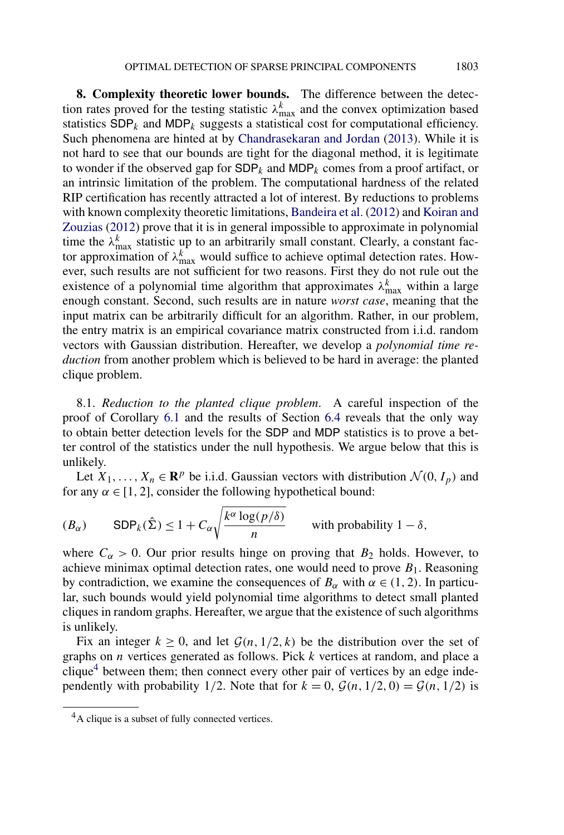<span id="page-23-0"></span>**8. Complexity theoretic lower bounds.** The difference between the detection rates proved for the testing statistic  $\lambda_{\text{max}}^k$  and the convex optimization based statistics  $SDP_k$  and  $MDP_k$  suggests a statistical cost for computational efficiency. Such phenomena are hinted at by [Chandrasekaran and Jordan](#page-32-0) [\(2013\)](#page-32-0). While it is not hard to see that our bounds are tight for the diagonal method, it is legitimate to wonder if the observed gap for  $SDP_k$  and  $MDP_k$  comes from a proof artifact, or an intrinsic limitation of the problem. The computational hardness of the related RIP certification has recently attracted a lot of interest. By reductions to problems with known complexity theoretic limitations, [Bandeira et al.](#page-32-0) [\(2012\)](#page-32-0) and [Koiran and](#page-34-0) [Zouzias](#page-34-0) [\(2012\)](#page-34-0) prove that it is in general impossible to approximate in polynomial time the  $\lambda_{\text{max}}^k$  statistic up to an arbitrarily small constant. Clearly, a constant factor approximation of  $\lambda_{\text{max}}^k$  would suffice to achieve optimal detection rates. However, such results are not sufficient for two reasons. First they do not rule out the existence of a polynomial time algorithm that approximates  $\lambda_{\text{max}}^k$  within a large enough constant. Second, such results are in nature *worst case*, meaning that the input matrix can be arbitrarily difficult for an algorithm. Rather, in our problem, the entry matrix is an empirical covariance matrix constructed from i.i.d. random vectors with Gaussian distribution. Hereafter, we develop a *polynomial time reduction* from another problem which is believed to be hard in average: the planted clique problem.

8.1. *Reduction to the planted clique problem*. A careful inspection of the proof of Corollary [6.1](#page-17-0) and the results of Section [6.4](#page-17-0) reveals that the only way to obtain better detection levels for the SDP and MDP statistics is to prove a better control of the statistics under the null hypothesis. We argue below that this is unlikely.

Let  $X_1, \ldots, X_n \in \mathbb{R}^p$  be i.i.d. Gaussian vectors with distribution  $\mathcal{N}(0, I_p)$  and for any  $\alpha \in [1, 2]$ , consider the following hypothetical bound:

$$
(B_{\alpha}) \qquad \text{SDP}_k(\hat{\Sigma}) \le 1 + C_{\alpha} \sqrt{\frac{k^{\alpha} \log(p/\delta)}{n}} \qquad \text{with probability } 1 - \delta,
$$

where  $C_\alpha > 0$ . Our prior results hinge on proving that  $B_2$  holds. However, to achieve minimax optimal detection rates, one would need to prove  $B_1$ . Reasoning by contradiction, we examine the consequences of  $B_\alpha$  with  $\alpha \in (1, 2)$ . In particular, such bounds would yield polynomial time algorithms to detect small planted cliques in random graphs. Hereafter, we argue that the existence of such algorithms is unlikely.

Fix an integer  $k \geq 0$ , and let  $\mathcal{G}(n, 1/2, k)$  be the distribution over the set of graphs on *n* vertices generated as follows. Pick *k* vertices at random, and place a clique<sup>4</sup> between them; then connect every other pair of vertices by an edge independently with probability 1/2. Note that for  $k = 0$ ,  $\mathcal{G}(n, 1/2, 0) = \mathcal{G}(n, 1/2)$  is

 ${}^{4}$ A clique is a subset of fully connected vertices.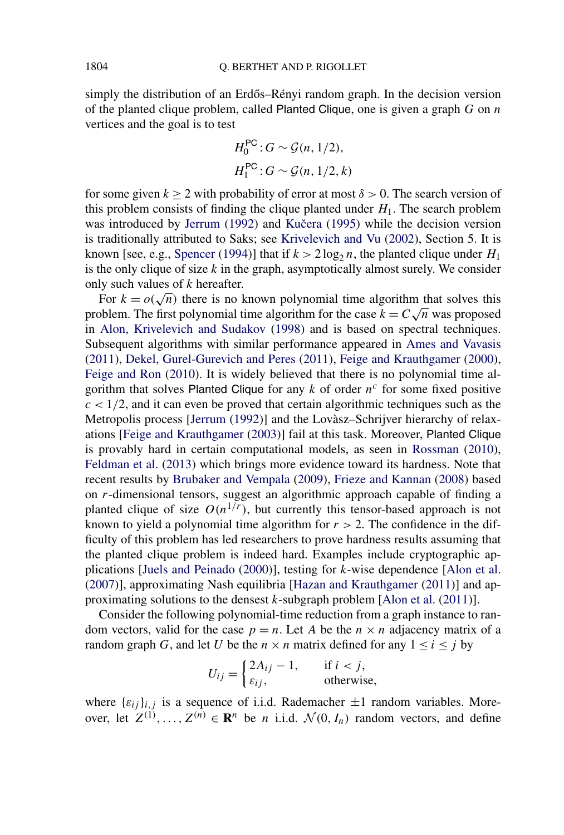simply the distribution of an Erdős–Rényi random graph. In the decision version of the planted clique problem, called Planted Clique, one is given a graph *G* on *n* vertices and the goal is to test

$$
H_0^{\text{PC}}: G \sim \mathcal{G}(n, 1/2),
$$
  

$$
H_1^{\text{PC}}: G \sim \mathcal{G}(n, 1/2, k)
$$

for some given  $k \ge 2$  with probability of error at most  $\delta > 0$ . The search version of this problem consists of finding the clique planted under  $H_1$ . The search problem was introduced by [Jerrum](#page-33-0) [\(1992\)](#page-33-0) and Kučera [\(1995\)](#page-34-0) while the decision version is traditionally attributed to Saks; see [Krivelevich and Vu](#page-34-0) [\(2002\)](#page-34-0), Section 5. It is known [see, e.g., [Spencer](#page-34-0) [\(1994\)](#page-34-0)] that if  $k > 2 \log_2 n$ , the planted clique under  $H_1$ is the only clique of size *k* in the graph, asymptotically almost surely. We consider only such values of *k* hereafter.

For  $k = o(\sqrt{n})$  there is no known polynomial time algorithm that solves this problem. The first polynomial time algorithm for the case  $k = C\sqrt{n}$  was proposed in [Alon, Krivelevich and Sudakov](#page-31-0) [\(1998\)](#page-31-0) and is based on spectral techniques. Subsequent algorithms with similar performance appeared in [Ames and Vavasis](#page-32-0) [\(2011\)](#page-32-0), [Dekel, Gurel-Gurevich and Peres](#page-33-0) [\(2011\)](#page-33-0), [Feige and Krauthgamer](#page-33-0) [\(2000\)](#page-33-0), [Feige and Ron](#page-33-0) [\(2010\)](#page-33-0). It is widely believed that there is no polynomial time algorithm that solves Planted Clique for any  $k$  of order  $n<sup>c</sup>$  for some fixed positive  $c < 1/2$ , and it can even be proved that certain algorithmic techniques such as the Metropolis process [\[Jerrum](#page-33-0) [\(1992\)](#page-33-0)] and the Lovàsz–Schrijver hierarchy of relaxations [\[Feige and Krauthgamer](#page-33-0) [\(2003\)](#page-33-0)] fail at this task. Moreover, Planted Clique is provably hard in certain computational models, as seen in [Rossman](#page-34-0) [\(2010\)](#page-34-0), [Feldman et al.](#page-33-0) [\(2013\)](#page-33-0) which brings more evidence toward its hardness. Note that recent results by [Brubaker and Vempala](#page-32-0) [\(2009\)](#page-32-0), [Frieze and Kannan](#page-33-0) [\(2008\)](#page-33-0) based on *r*-dimensional tensors, suggest an algorithmic approach capable of finding a planted clique of size  $O(n^{1/r})$ , but currently this tensor-based approach is not known to yield a polynomial time algorithm for  $r > 2$ . The confidence in the difficulty of this problem has led researchers to prove hardness results assuming that the planted clique problem is indeed hard. Examples include cryptographic applications [\[Juels and Peinado](#page-34-0) [\(2000\)](#page-34-0)], testing for *k*-wise dependence [\[Alon et al.](#page-32-0) [\(2007\)](#page-32-0)], approximating Nash equilibria [\[Hazan and Krauthgamer](#page-33-0) [\(2011\)](#page-33-0)] and approximating solutions to the densest *k*-subgraph problem [\[Alon et al.](#page-32-0) [\(2011\)](#page-32-0)].

Consider the following polynomial-time reduction from a graph instance to random vectors, valid for the case  $p = n$ . Let *A* be the  $n \times n$  adjacency matrix of a random graph *G*, and let *U* be the  $n \times n$  matrix defined for any  $1 \le i \le j$  by

$$
U_{ij} = \begin{cases} 2A_{ij} - 1, & \text{if } i < j, \\ \varepsilon_{ij}, & \text{otherwise,} \end{cases}
$$

where  $\{\varepsilon_{ij}\}_{i,j}$  is a sequence of i.i.d. Rademacher  $\pm 1$  random variables. Moreover, let  $Z^{(1)}, \ldots, Z^{(n)} \in \mathbb{R}^n$  be *n* i.i.d.  $\mathcal{N}(0, I_n)$  random vectors, and define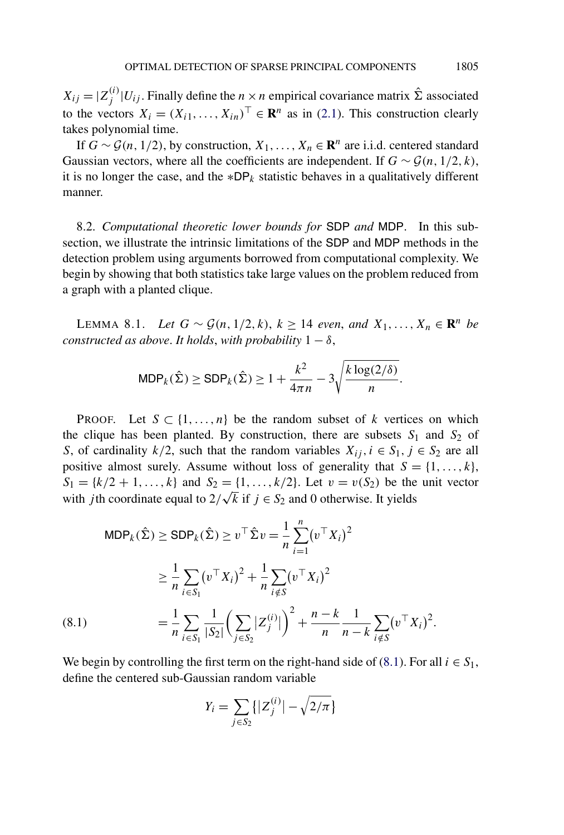<span id="page-25-0"></span> $X_{ij} = |Z_j^{(i)}| U_{ij}$ . Finally define the  $n \times n$  empirical covariance matrix  $\hat{\Sigma}$  associated to the vectors  $X_i = (X_{i1}, \ldots, X_{in})^\top \in \mathbb{R}^n$  as in [\(2.1\)](#page-4-0). This construction clearly takes polynomial time.

If *G* ∼  $\mathcal{G}(n, 1/2)$ , by construction,  $X_1, \ldots, X_n \in \mathbb{R}^n$  are i.i.d. centered standard Gaussian vectors, where all the coefficients are independent. If  $G \sim \mathcal{G}(n, 1/2, k)$ , it is no longer the case, and the  $*DP_k$  statistic behaves in a qualitatively different manner.

8.2. *Computational theoretic lower bounds for* SDP *and* MDP. In this subsection, we illustrate the intrinsic limitations of the SDP and MDP methods in the detection problem using arguments borrowed from computational complexity. We begin by showing that both statistics take large values on the problem reduced from a graph with a planted clique.

LEMMA 8.1. *Let G* ∼  $\mathcal{G}(n, 1/2, k)$ ,  $k \ge 14$  *even, and*  $X_1, \ldots, X_n \in \mathbb{R}^n$  *be constructed as above. It holds, with probability*  $1 - \delta$ ,

$$
\text{MDP}_k(\hat{\Sigma}) \geq \text{SDP}_k(\hat{\Sigma}) \geq 1 + \frac{k^2}{4\pi n} - 3\sqrt{\frac{k \log(2/\delta)}{n}}.
$$

PROOF. Let  $S \subset \{1, ..., n\}$  be the random subset of *k* vertices on which the clique has been planted. By construction, there are subsets  $S_1$  and  $S_2$  of *S*, of cardinality  $k/2$ , such that the random variables  $X_{ij}$ ,  $i \in S_1$ ,  $j \in S_2$  are all positive almost surely. Assume without loss of generality that  $S = \{1, \ldots, k\}$ ,  $S_1 = \{k/2 + 1, \ldots, k\}$  and  $S_2 = \{1, \ldots, k/2\}$ . Let  $v = v(S_2)$  be the unit vector  $S_1 = \{k/2 + 1, ..., k\}$  and  $S_2 = \{1, ..., k/2\}$ . Let  $v = v(S_2)$  be the with *j*th coordinate equal to  $2/\sqrt{k}$  if  $j \in S_2$  and 0 otherwise. It yields

$$
\begin{aligned} \text{MDP}_{k}(\hat{\Sigma}) &\geq \text{SDP}_{k}(\hat{\Sigma}) \geq v^{\top} \hat{\Sigma} v = \frac{1}{n} \sum_{i=1}^{n} (v^{\top} X_{i})^{2} \\ &\geq \frac{1}{n} \sum_{i \in S_{1}} (v^{\top} X_{i})^{2} + \frac{1}{n} \sum_{i \notin S} (v^{\top} X_{i})^{2} \\ &= \frac{1}{n} \sum_{i \in S_{1}} \frac{1}{|S_{2}|} \left( \sum_{j \in S_{2}} |Z_{j}^{(i)}| \right)^{2} + \frac{n-k}{n} \frac{1}{n-k} \sum_{i \notin S} (v^{\top} X_{i})^{2} .\end{aligned}
$$
\n
$$
(8.1)
$$

We begin by controlling the first term on the right-hand side of (8.1). For all  $i \in S_1$ , define the centered sub-Gaussian random variable

$$
Y_i = \sum_{j \in S_2} \{ |Z_j^{(i)}| - \sqrt{2/\pi} \}
$$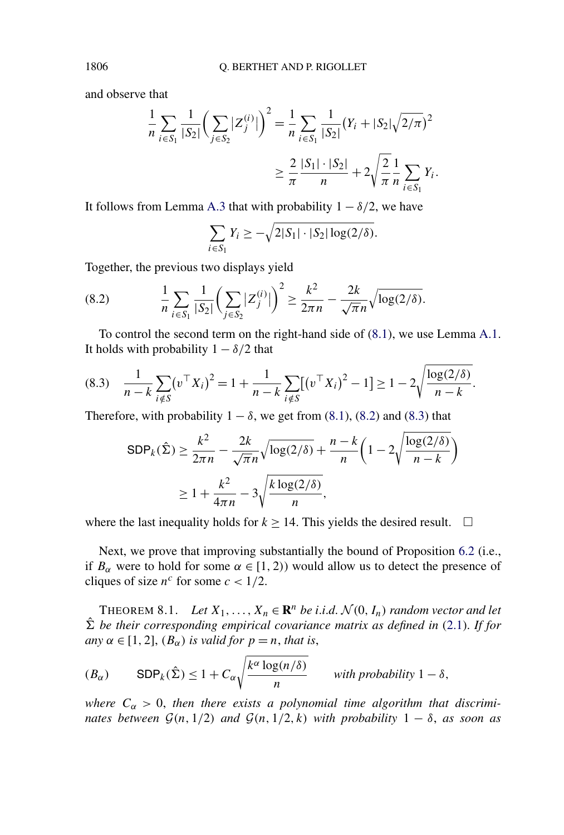and observe that

$$
\frac{1}{n} \sum_{i \in S_1} \frac{1}{|S_2|} \left( \sum_{j \in S_2} |Z_j^{(i)}| \right)^2 = \frac{1}{n} \sum_{i \in S_1} \frac{1}{|S_2|} (Y_i + |S_2| \sqrt{2/\pi})^2
$$

$$
\geq \frac{2}{\pi} \frac{|S_1| \cdot |S_2|}{n} + 2\sqrt{\frac{2}{\pi}} \frac{1}{n} \sum_{i \in S_1} Y_i.
$$

It follows from Lemma [A.3](#page-31-0) that with probability  $1 - \delta/2$ , we have

$$
\sum_{i \in S_1} Y_i \ge -\sqrt{2|S_1| \cdot |S_2| \log(2/\delta)}.
$$

Together, the previous two displays yield

(8.2) 
$$
\frac{1}{n} \sum_{i \in S_1} \frac{1}{|S_2|} \left( \sum_{j \in S_2} |Z_j^{(i)}| \right)^2 \ge \frac{k^2}{2\pi n} - \frac{2k}{\sqrt{\pi}n} \sqrt{\log(2/\delta)}.
$$

To control the second term on the right-hand side of [\(8.1\)](#page-25-0), we use Lemma [A.1.](#page-30-0) It holds with probability  $1 - \delta/2$  that

$$
(8.3) \quad \frac{1}{n-k} \sum_{i \notin S} (v^\top X_i)^2 = 1 + \frac{1}{n-k} \sum_{i \notin S} [(v^\top X_i)^2 - 1] \ge 1 - 2 \sqrt{\frac{\log(2/\delta)}{n-k}}.
$$

Therefore, with probability  $1 - \delta$ , we get from [\(8.1\)](#page-25-0), (8.2) and (8.3) that

$$
\begin{aligned} \text{SDP}_k(\hat{\Sigma}) &\ge \frac{k^2}{2\pi n} - \frac{2k}{\sqrt{\pi n}} \sqrt{\log(2/\delta)} + \frac{n-k}{n} \left( 1 - 2\sqrt{\frac{\log(2/\delta)}{n-k}} \right) \\ &\ge 1 + \frac{k^2}{4\pi n} - 3\sqrt{\frac{k \log(2/\delta)}{n}}, \end{aligned}
$$

where the last inequality holds for  $k \ge 14$ . This yields the desired result.  $\Box$ 

Next, we prove that improving substantially the bound of Proposition [6.2](#page-15-0) (i.e., if  $B_\alpha$  were to hold for some  $\alpha \in [1, 2)$ ) would allow us to detect the presence of cliques of size  $n^c$  for some  $c < 1/2$ .

THEOREM 8.1. *Let*  $X_1, \ldots, X_n \in \mathbb{R}^n$  *be i.i.d.*  $\mathcal{N}(0, I_n)$  *random vector and let*  $\hat{\Sigma}$  *be their corresponding empirical covariance matrix as defined in* [\(2.1\)](#page-4-0). *If for any*  $\alpha \in [1, 2]$ ,  $(B_{\alpha})$  *is valid for*  $p = n$ *, that is,* 

$$
(B_{\alpha}) \qquad \text{SDP}_k(\hat{\Sigma}) \le 1 + C_{\alpha} \sqrt{\frac{k^{\alpha} \log(n/\delta)}{n}} \qquad \text{with probability } 1 - \delta,
$$

*where*  $C_{\alpha} > 0$ , then there exists a polynomial time algorithm that discrimi*nates between*  $G(n, 1/2)$  *and*  $G(n, 1/2, k)$  *with probability*  $1 - \delta$ *, as soon as* 

<span id="page-26-0"></span>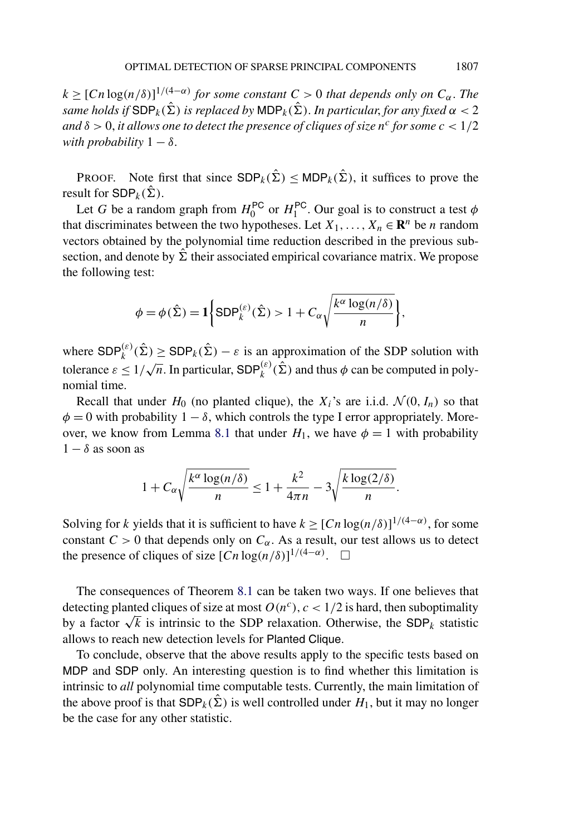$k \geq [Cn \log(n/\delta)]^{1/(4-\alpha)}$  *for some constant*  $C > 0$  *that depends only on*  $C_{\alpha}$ *. The same holds if*  $SDP_k(\hat{\Sigma})$  *is replaced by*  $MDP_k(\hat{\Sigma})$ *. In particular, for any fixed*  $\alpha < 2$ *and*  $\delta > 0$ , *it allows one to detect the presence of cliques of size*  $n^c$  *for some*  $c < 1/2$ *with probability*  $1 - \delta$ .

PROOF. Note first that since  $SDP_k(\hat{\Sigma}) \leq MDP_k(\hat{\Sigma})$ , it suffices to prove the result for  $SDP_k(\hat{\Sigma})$ .

Let *G* be a random graph from  $H_0^{PC}$  or  $H_1^{PC}$ . Our goal is to construct a test  $\phi$ that discriminates between the two hypotheses. Let  $X_1, \ldots, X_n \in \mathbb{R}^n$  be *n* random vectors obtained by the polynomial time reduction described in the previous subsection, and denote by  $\hat{\Sigma}$  their associated empirical covariance matrix. We propose the following test:

$$
\phi = \phi(\hat{\Sigma}) = \mathbf{1} \bigg\{ \text{SDP}_k^{(\varepsilon)}(\hat{\Sigma}) > 1 + C_{\alpha} \sqrt{\frac{k^{\alpha} \log(n/\delta)}{n}} \bigg\},
$$

where  $SDP_k^{(\varepsilon)}(\hat{\Sigma}) \geq SDP_k(\hat{\Sigma}) - \varepsilon$  is an approximation of the SDP solution with tolerance  $\varepsilon \leq 1/\sqrt{n}$ . In particular,  $SDP_k^{(\varepsilon)}(\hat{\Sigma})$  and thus  $\phi$  can be computed in polynomial time.

Recall that under  $H_0$  (no planted clique), the  $X_i$ 's are i.i.d.  $\mathcal{N}(0, I_n)$  so that  $\phi = 0$  with probability  $1 - \delta$ , which controls the type I error appropriately. More-over, we know from Lemma [8.1](#page-25-0) that under  $H_1$ , we have  $\phi = 1$  with probability  $1 - \delta$  as soon as

$$
1 + C_{\alpha} \sqrt{\frac{k^{\alpha} \log(n/\delta)}{n}} \le 1 + \frac{k^2}{4\pi n} - 3 \sqrt{\frac{k \log(2/\delta)}{n}}.
$$

Solving for *k* yields that it is sufficient to have  $k \geq [Cn \log(n/\delta)]^{1/(4-\alpha)}$ , for some constant  $C > 0$  that depends only on  $C_{\alpha}$ . As a result, our test allows us to detect the presence of cliques of size  $[Cn \log(n/\delta)]^{1/(4-\alpha)}$ .  $\Box$ 

The consequences of Theorem [8.1](#page-26-0) can be taken two ways. If one believes that detecting planted cliques of size at most  $O(n^c)$ ,  $c < 1/2$  is hard, then suboptimality by a factor  $\sqrt{k}$  is intrinsic to the SDP relaxation. Otherwise, the SDP<sub>k</sub> statistic allows to reach new detection levels for Planted Clique.

To conclude, observe that the above results apply to the specific tests based on MDP and SDP only. An interesting question is to find whether this limitation is intrinsic to *all* polynomial time computable tests. Currently, the main limitation of the above proof is that  $SDP_k(\hat{\Sigma})$  is well controlled under  $H_1$ , but it may no longer be the case for any other statistic.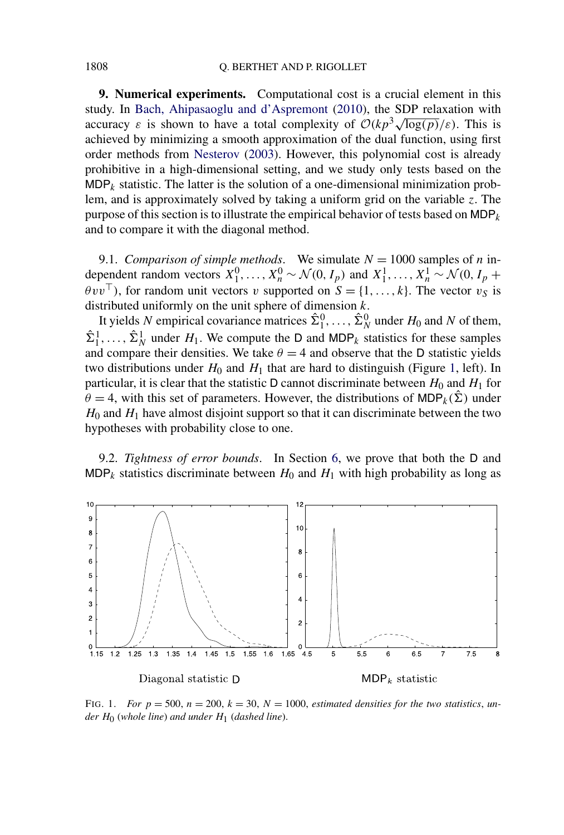**9. Numerical experiments.** Computational cost is a crucial element in this study. In [Bach, Ahipasaoglu and d'Aspremont](#page-32-0) [\(2010\)](#page-32-0), the SDP relaxation with accuracy  $\varepsilon$  is shown to have a total complexity of  $O(kp^3\sqrt{\log(p)}/\varepsilon)$ . This is achieved by minimizing a smooth approximation of the dual function, using first order methods from [Nesterov](#page-34-0) [\(2003\)](#page-34-0). However, this polynomial cost is already prohibitive in a high-dimensional setting, and we study only tests based on the  $MDP_k$  statistic. The latter is the solution of a one-dimensional minimization problem, and is approximately solved by taking a uniform grid on the variable *z*. The purpose of this section is to illustrate the empirical behavior of tests based on  $MDP_k$ and to compare it with the diagonal method.

9.1. *Comparison of simple methods*. We simulate  $N = 1000$  samples of *n* independent random vectors  $X_1^0, \ldots, X_n^0 \sim \mathcal{N}(0, I_p)$  and  $X_1^1, \ldots, X_n^1 \sim \mathcal{N}(0, I_p + I_p)$  $\theta v v^{\top}$ ), for random unit vectors *v* supported on  $S = \{1, ..., k\}$ . The vector  $v_S$  is distributed uniformly on the unit sphere of dimension *k*.

It yields *N* empirical covariance matrices  $\hat{\Sigma}_1^0, \ldots, \hat{\Sigma}_N^0$  under  $H_0$  and *N* of them,  $\hat{\Sigma}_1^1, \ldots, \hat{\Sigma}_N^1$  under  $H_1$ . We compute the D and MDP<sub>k</sub> statistics for these samples and compare their densities. We take  $\theta = 4$  and observe that the D statistic yields two distributions under  $H_0$  and  $H_1$  that are hard to distinguish (Figure 1, left). In particular, it is clear that the statistic D cannot discriminate between  $H_0$  and  $H_1$  for  $\theta = 4$ , with this set of parameters. However, the distributions of MDP<sub>k</sub>( $\hat{\Sigma}$ ) under  $H_0$  and  $H_1$  have almost disjoint support so that it can discriminate between the two hypotheses with probability close to one.

9.2. *Tightness of error bounds*. In Section [6,](#page-13-0) we prove that both the D and MDP<sub>k</sub> statistics discriminate between  $H_0$  and  $H_1$  with high probability as long as



FIG. 1. *For*  $p = 500$ ,  $n = 200$ ,  $k = 30$ ,  $N = 1000$ , *estimated densities for the two statistics*, *under H*0 (*whole line*) *and under H*1 (*dashed line*).

<span id="page-28-0"></span>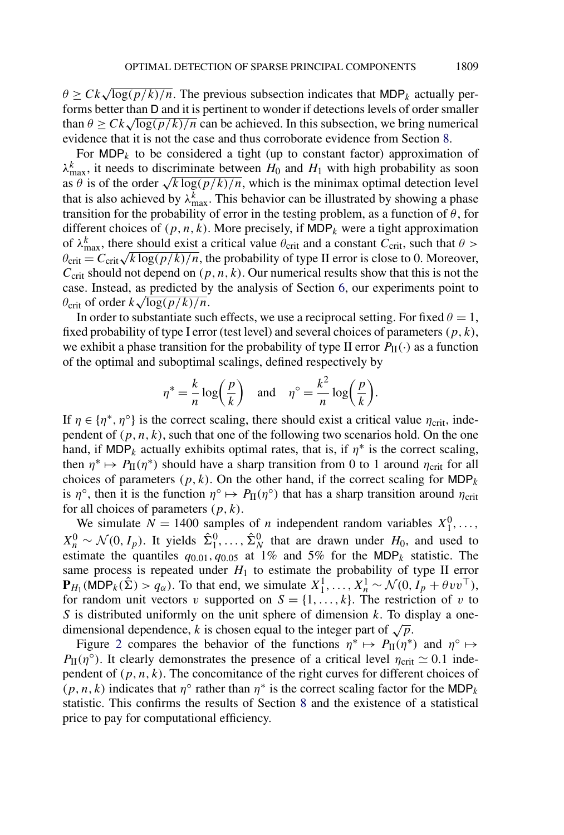$\theta \geq Ck\sqrt{\log(p/k)/n}$ . The previous subsection indicates that MDP<sub>k</sub> actually performs better than D and it is pertinent to wonder if detections levels of order smaller than  $\theta$  >  $Ck\sqrt{\log (p/k)/n}$  can be achieved. In this subsection, we bring numerical evidence that it is not the case and thus corroborate evidence from Section [8.](#page-23-0)

For  $MDP_k$  to be considered a tight (up to constant factor) approximation of  $\lambda_{\text{max}}^k$ , it needs to discriminate between  $H_0$  and  $H_1$  with high probability as soon as  $\theta$  is of the order  $\sqrt{k \log(p/k)/n}$ , which is the minimax optimal detection level that is also achieved by  $\lambda_{\text{max}}^k$ . This behavior can be illustrated by showing a phase transition for the probability of error in the testing problem, as a function of *θ*, for different choices of  $(p, n, k)$ . More precisely, if MDP<sub>k</sub> were a tight approximation of  $\lambda_{\text{max}}^k$ , there should exist a critical value  $\theta_{\text{crit}}$  and a constant  $C_{\text{crit}}$ , such that  $\theta$  >  $\theta_{\rm crit} = C_{\rm crit} \sqrt{k \log(p/k)/n}$ , the probability of type II error is close to 0. Moreover,  $C_{\text{crit}}$  should not depend on  $(p, n, k)$ . Our numerical results show that this is not the case. Instead, as predicted by the analysis of Section [6,](#page-13-0) our experiments point to *θ*crit of order *k* <sup>√</sup>log*(p/k)/n*.

In order to substantiate such effects, we use a reciprocal setting. For fixed  $\theta = 1$ , fixed probability of type I error (test level) and several choices of parameters *(p,k)*, we exhibit a phase transition for the probability of type II error  $P_{\text{II}}(\cdot)$  as a function of the optimal and suboptimal scalings, defined respectively by

$$
\eta^* = \frac{k}{n} \log \left( \frac{p}{k} \right)
$$
 and  $\eta^\circ = \frac{k^2}{n} \log \left( \frac{p}{k} \right)$ .

If  $\eta \in {\{\eta^*, \eta^{\circ}\}}$  is the correct scaling, there should exist a critical value  $\eta_{\text{crit}}$ , independent of  $(p, n, k)$ , such that one of the following two scenarios hold. On the one hand, if MDP<sub>k</sub> actually exhibits optimal rates, that is, if  $\eta^*$  is the correct scaling, then  $\eta^* \mapsto P_{II}(\eta^*)$  should have a sharp transition from 0 to 1 around  $\eta_{crit}$  for all choices of parameters  $(p, k)$ . On the other hand, if the correct scaling for  $MDP_k$ is  $\eta^\circ$ , then it is the function  $\eta^\circ \mapsto P_{\text{II}}(\eta^\circ)$  that has a sharp transition around  $\eta_{\text{crit}}$ for all choices of parameters *(p,k)*.

We simulate  $N = 1400$  samples of *n* independent random variables  $X_1^0, \ldots$ ,  $X_n^0 \sim \mathcal{N}(0, I_p)$ . It yields  $\hat{\Sigma}_1^0, \ldots, \hat{\Sigma}_N^0$  that are drawn under *H*<sub>0</sub>, and used to estimate the quantiles  $q_{0.01}$ ,  $q_{0.05}$  at 1% and 5% for the MDP<sub>k</sub> statistic. The same process is repeated under  $H_1$  to estimate the probability of type II error  $\mathbf{P}_{H_1}(\text{MDP}_k(\hat{\Sigma}) > q_\alpha)$ . To that end, we simulate  $X_1^1, \ldots, X_n^1 \sim \mathcal{N}(0, I_p + \theta v v^\top)$ , for random unit vectors *v* supported on  $S = \{1, \ldots, k\}$ . The restriction of *v* to *S* is distributed uniformly on the unit sphere of dimension *k*. To display a onedimensional dependence, *k* is chosen equal to the integer part of  $\sqrt{p}$ .

Figure [2](#page-30-0) compares the behavior of the functions  $\eta^* \mapsto P_{\text{II}}(\eta^*)$  and  $\eta^{\circ} \mapsto$ *P*<sub>II</sub> $(\eta^{\circ})$ . It clearly demonstrates the presence of a critical level  $\eta_{\text{crit}} \simeq 0.1$  independent of  $(p, n, k)$ . The concomitance of the right curves for different choices of  $(p, n, k)$  indicates that *η*<sup>○</sup> rather than *η*<sup>∗</sup> is the correct scaling factor for the MDP<sub>*k*</sub> statistic. This confirms the results of Section [8](#page-23-0) and the existence of a statistical price to pay for computational efficiency.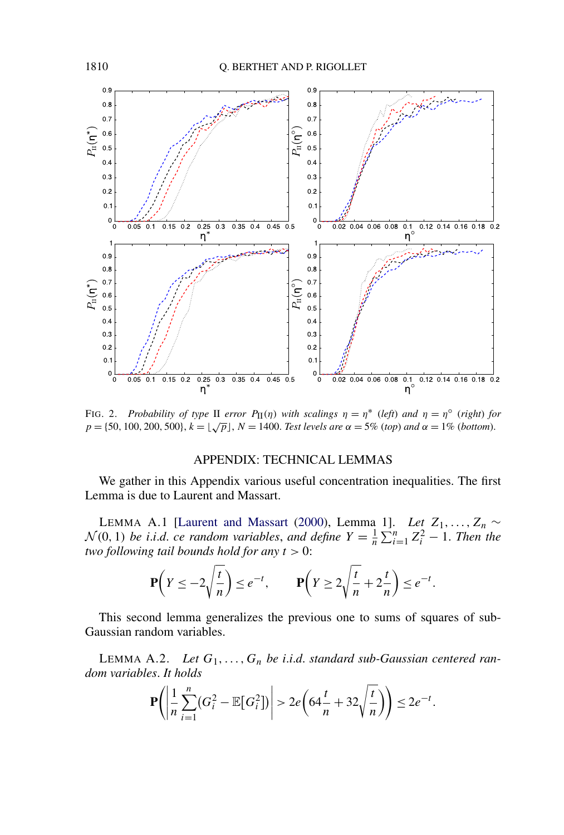<span id="page-30-0"></span>

FIG. 2. *Probability of type* II *error*  $P_{\text{II}}(\eta)$  *with scalings*  $\eta = \eta^*$  (*left*) *and*  $\eta = \eta^{\circ}$  (*right*) *for*  $p = \{50, 100, 200, 500\}, k = \sqrt{p}$ ,  $N = 1400$ . *Test levels are*  $\alpha = 5\%$  (*top*) *and*  $\alpha = 1\%$  (*bottom*).

### APPENDIX: TECHNICAL LEMMAS

We gather in this Appendix various useful concentration inequalities. The first Lemma is due to Laurent and Massart.

LEMMA A.1 [\[Laurent and Massart](#page-34-0) [\(2000\)](#page-34-0), Lemma 1]. *Let*  $Z_1, \ldots, Z_n$  ∼  $\mathcal{N}(0, 1)$  *be i.i.d. ce random variables, and define*  $Y = \frac{1}{n} \sum_{i=1}^{n} Z_i^2 - 1$ *. Then the two following tail bounds hold for any t >* 0:

$$
\mathbf{P}\left(Y \le -2\sqrt{\frac{t}{n}}\right) \le e^{-t}, \qquad \mathbf{P}\left(Y \ge 2\sqrt{\frac{t}{n}} + 2\frac{t}{n}\right) \le e^{-t}.
$$

This second lemma generalizes the previous one to sums of squares of sub-Gaussian random variables.

LEMMA A.2. Let  $G_1, \ldots, G_n$  be *i.i.d.* standard sub-Gaussian centered ran*dom variables*. *It holds*

$$
\mathbf{P}\left(\left|\frac{1}{n}\sum_{i=1}^n(G_i^2-\mathbb{E}[G_i^2])\right|>2e\left(64\frac{t}{n}+32\sqrt{\frac{t}{n}}\right)\right)\leq 2e^{-t}.
$$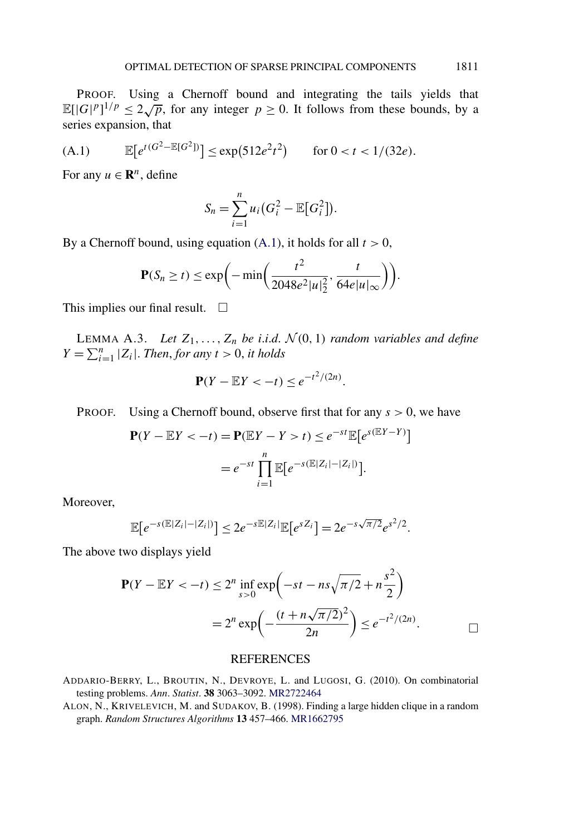<span id="page-31-0"></span>PROOF. Using a Chernoff bound and integrating the tails yields that E $[|G|^p]^{1/p} \le 2\sqrt{p}$ , for any integer  $p \ge 0$ . It follows from these bounds, by a series expansion, that

(A.1) 
$$
\mathbb{E}[e^{t(G^2 - \mathbb{E}[G^2])}] \le \exp(512e^2t^2) \quad \text{for } 0 < t < 1/(32e).
$$

For any  $u \in \mathbb{R}^n$ , define

$$
S_n = \sum_{i=1}^n u_i (G_i^2 - \mathbb{E}[G_i^2]).
$$

By a Chernoff bound, using equation  $(A.1)$ , it holds for all  $t > 0$ ,

$$
\mathbf{P}(S_n \ge t) \le \exp\biggl(-\min\biggl(\frac{t^2}{2048e^2|u|_2^2},\frac{t}{64e|u|_\infty}\biggr)\biggr).
$$

This implies our final result.  $\Box$ 

LEMMA A.3. *Let*  $Z_1, \ldots, Z_n$  *be i.i.d.*  $\mathcal{N}(0, 1)$  *random variables and define*  $Y = \sum_{i=1}^{n} |Z_i|$ . *Then, for any*  $t > 0$ *, it holds* 

$$
\mathbf{P}(Y - \mathbb{E}Y < -t) \leq e^{-t^2/(2n)}.
$$

PROOF. Using a Chernoff bound, observe first that for any *s >* 0, we have

$$
\mathbf{P}(Y - \mathbb{E}Y < -t) = \mathbf{P}(\mathbb{E}Y - Y > t) \le e^{-st} \mathbb{E}\left[e^{s(\mathbb{E}Y - Y)}\right]
$$
\n
$$
= e^{-st} \prod_{i=1}^{n} \mathbb{E}\left[e^{-s(\mathbb{E}|Z_i| - |Z_i|)}\right].
$$

Moreover,

$$
\mathbb{E}[e^{-s(\mathbb{E}|Z_i|-|Z_i|)}] \leq 2e^{-s\mathbb{E}|Z_i|}\mathbb{E}[e^{sZ_i}] = 2e^{-s\sqrt{\pi/2}}e^{s^2/2}.
$$

The above two displays yield

$$
\mathbf{P}(Y - \mathbb{E}Y < -t) \le 2^n \inf_{s > 0} \exp\left(-st - ns\sqrt{\pi/2} + n\frac{s^2}{2}\right)
$$
\n
$$
= 2^n \exp\left(-\frac{(t + n\sqrt{\pi/2})^2}{2n}\right) \le e^{-t^2/(2n)}.\tag{}
$$

#### REFERENCES

ADDARIO-BERRY, L., BROUTIN, N., DEVROYE, L. and LUGOSI, G. (2010). On combinatorial testing problems. *Ann*. *Statist*. **38** 3063–3092. [MR2722464](http://www.ams.org/mathscinet-getitem?mr=2722464)

ALON, N., KRIVELEVICH, M. and SUDAKOV, B. (1998). Finding a large hidden clique in a random graph. *Random Structures Algorithms* **13** 457–466. [MR1662795](http://www.ams.org/mathscinet-getitem?mr=1662795)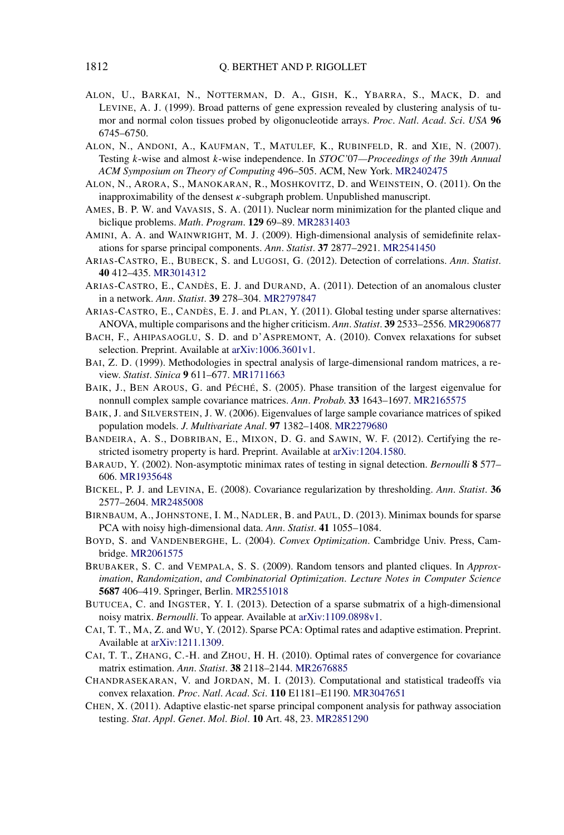- <span id="page-32-0"></span>ALON, U., BARKAI, N., NOTTERMAN, D. A., GISH, K., YBARRA, S., MACK, D. and LEVINE, A. J. (1999). Broad patterns of gene expression revealed by clustering analysis of tumor and normal colon tissues probed by oligonucleotide arrays. *Proc*. *Natl*. *Acad*. *Sci*. *USA* **96** 6745–6750.
- ALON, N., ANDONI, A., KAUFMAN, T., MATULEF, K., RUBINFELD, R. and XIE, N. (2007). Testing *k*-wise and almost *k*-wise independence. In *STOC'*07*—Proceedings of the* 39*th Annual ACM Symposium on Theory of Computing* 496–505. ACM, New York. [MR2402475](http://www.ams.org/mathscinet-getitem?mr=2402475)
- ALON, N., ARORA, S., MANOKARAN, R., MOSHKOVITZ, D. and WEINSTEIN, O. (2011). On the inapproximability of the densest  $\kappa$ -subgraph problem. Unpublished manuscript.
- AMES, B. P. W. and VAVASIS, S. A. (2011). Nuclear norm minimization for the planted clique and biclique problems. *Math*. *Program*. **129** 69–89. [MR2831403](http://www.ams.org/mathscinet-getitem?mr=2831403)
- AMINI, A. A. and WAINWRIGHT, M. J. (2009). High-dimensional analysis of semidefinite relaxations for sparse principal components. *Ann*. *Statist*. **37** 2877–2921. [MR2541450](http://www.ams.org/mathscinet-getitem?mr=2541450)
- ARIAS-CASTRO, E., BUBECK, S. and LUGOSI, G. (2012). Detection of correlations. *Ann*. *Statist*. **40** 412–435. [MR3014312](http://www.ams.org/mathscinet-getitem?mr=3014312)
- ARIAS-CASTRO, E., CANDÈS, E. J. and DURAND, A. (2011). Detection of an anomalous cluster in a network. *Ann*. *Statist*. **39** 278–304. [MR2797847](http://www.ams.org/mathscinet-getitem?mr=2797847)
- ARIAS-CASTRO, E., CANDÈS, E. J. and PLAN, Y. (2011). Global testing under sparse alternatives: ANOVA, multiple comparisons and the higher criticism. *Ann*. *Statist*. **39** 2533–2556. [MR2906877](http://www.ams.org/mathscinet-getitem?mr=2906877)
- BACH, F., AHIPASAOGLU, S. D. and D'ASPREMONT, A. (2010). Convex relaxations for subset selection. Preprint. Available at [arXiv:1006.3601v1.](http://arxiv.org/abs/arXiv:1006.3601v1)
- BAI, Z. D. (1999). Methodologies in spectral analysis of large-dimensional random matrices, a review. *Statist*. *Sinica* **9** 611–677. [MR1711663](http://www.ams.org/mathscinet-getitem?mr=1711663)
- BAIK, J., BEN AROUS, G. and PÉCHÉ, S. (2005). Phase transition of the largest eigenvalue for nonnull complex sample covariance matrices. *Ann*. *Probab*. **33** 1643–1697. [MR2165575](http://www.ams.org/mathscinet-getitem?mr=2165575)
- BAIK, J. and SILVERSTEIN, J. W. (2006). Eigenvalues of large sample covariance matrices of spiked population models. *J*. *Multivariate Anal*. **97** 1382–1408. [MR2279680](http://www.ams.org/mathscinet-getitem?mr=2279680)
- BANDEIRA, A. S., DOBRIBAN, E., MIXON, D. G. and SAWIN, W. F. (2012). Certifying the restricted isometry property is hard. Preprint. Available at [arXiv:1204.1580.](http://arxiv.org/abs/arXiv:1204.1580)
- BARAUD, Y. (2002). Non-asymptotic minimax rates of testing in signal detection. *Bernoulli* **8** 577– 606. [MR1935648](http://www.ams.org/mathscinet-getitem?mr=1935648)
- BICKEL, P. J. and LEVINA, E. (2008). Covariance regularization by thresholding. *Ann*. *Statist*. **36** 2577–2604. [MR2485008](http://www.ams.org/mathscinet-getitem?mr=2485008)
- BIRNBAUM, A., JOHNSTONE, I. M., NADLER, B. and PAUL, D. (2013). Minimax bounds for sparse PCA with noisy high-dimensional data. *Ann*. *Statist*. **41** 1055–1084.
- BOYD, S. and VANDENBERGHE, L. (2004). *Convex Optimization*. Cambridge Univ. Press, Cambridge. [MR2061575](http://www.ams.org/mathscinet-getitem?mr=2061575)
- BRUBAKER, S. C. and VEMPALA, S. S. (2009). Random tensors and planted cliques. In *Approximation*, *Randomization*, *and Combinatorial Optimization*. *Lecture Notes in Computer Science* **5687** 406–419. Springer, Berlin. [MR2551018](http://www.ams.org/mathscinet-getitem?mr=2551018)
- BUTUCEA, C. and INGSTER, Y. I. (2013). Detection of a sparse submatrix of a high-dimensional noisy matrix. *Bernoulli*. To appear. Available at [arXiv:1109.0898v1](http://arxiv.org/abs/arXiv:1109.0898v1).
- CAI, T. T., MA, Z. and WU, Y. (2012). Sparse PCA: Optimal rates and adaptive estimation. Preprint. Available at [arXiv:1211.1309](http://arxiv.org/abs/arXiv:1211.1309).
- CAI, T. T., ZHANG, C.-H. and ZHOU, H. H. (2010). Optimal rates of convergence for covariance matrix estimation. *Ann*. *Statist*. **38** 2118–2144. [MR2676885](http://www.ams.org/mathscinet-getitem?mr=2676885)
- CHANDRASEKARAN, V. and JORDAN, M. I. (2013). Computational and statistical tradeoffs via convex relaxation. *Proc*. *Natl*. *Acad*. *Sci*. **110** E1181–E1190. [MR3047651](http://www.ams.org/mathscinet-getitem?mr=3047651)
- CHEN, X. (2011). Adaptive elastic-net sparse principal component analysis for pathway association testing. *Stat*. *Appl*. *Genet*. *Mol*. *Biol*. **10** Art. 48, 23. [MR2851290](http://www.ams.org/mathscinet-getitem?mr=2851290)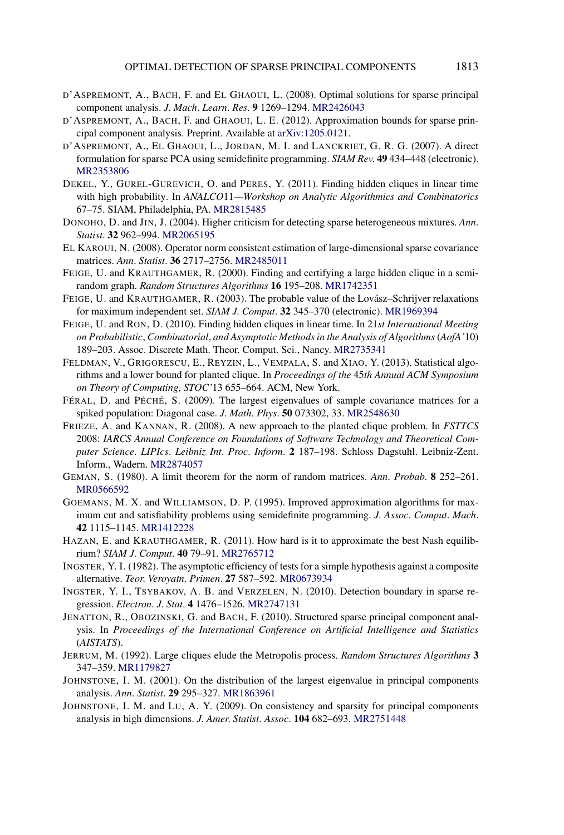- <span id="page-33-0"></span>D'ASPREMONT, A., BACH, F. and EL GHAOUI, L. (2008). Optimal solutions for sparse principal component analysis. *J*. *Mach*. *Learn*. *Res*. **9** 1269–1294. [MR2426043](http://www.ams.org/mathscinet-getitem?mr=2426043)
- D'ASPREMONT, A., BACH, F. and GHAOUI, L. E. (2012). Approximation bounds for sparse principal component analysis. Preprint. Available at [arXiv:1205.0121](http://arxiv.org/abs/arXiv:1205.0121).
- D'ASPREMONT, A., EL GHAOUI, L., JORDAN, M. I. and LANCKRIET, G. R. G. (2007). A direct formulation for sparse PCA using semidefinite programming. *SIAM Rev*. **49** 434–448 (electronic). [MR2353806](http://www.ams.org/mathscinet-getitem?mr=2353806)
- DEKEL, Y., GUREL-GUREVICH, O. and PERES, Y. (2011). Finding hidden cliques in linear time with high probability. In *ANALCO*11*—Workshop on Analytic Algorithmics and Combinatorics* 67–75. SIAM, Philadelphia, PA. [MR2815485](http://www.ams.org/mathscinet-getitem?mr=2815485)
- DONOHO, D. and JIN, J. (2004). Higher criticism for detecting sparse heterogeneous mixtures. *Ann*. *Statist*. **32** 962–994. [MR2065195](http://www.ams.org/mathscinet-getitem?mr=2065195)
- EL KAROUI, N. (2008). Operator norm consistent estimation of large-dimensional sparse covariance matrices. *Ann*. *Statist*. **36** 2717–2756. [MR2485011](http://www.ams.org/mathscinet-getitem?mr=2485011)
- FEIGE, U. and KRAUTHGAMER, R. (2000). Finding and certifying a large hidden clique in a semirandom graph. *Random Structures Algorithms* **16** 195–208. [MR1742351](http://www.ams.org/mathscinet-getitem?mr=1742351)
- FEIGE, U. and KRAUTHGAMER, R. (2003). The probable value of the Lovász–Schrijver relaxations for maximum independent set. *SIAM J*. *Comput*. **32** 345–370 (electronic). [MR1969394](http://www.ams.org/mathscinet-getitem?mr=1969394)
- FEIGE, U. and RON, D. (2010). Finding hidden cliques in linear time. In 21*st International Meeting on Probabilistic*, *Combinatorial*, *and Asymptotic Methods in the Analysis of Algorithms*(*AofA'*10) 189–203. Assoc. Discrete Math. Theor. Comput. Sci., Nancy. [MR2735341](http://www.ams.org/mathscinet-getitem?mr=2735341)
- FELDMAN, V., GRIGORESCU, E., REYZIN, L., VEMPALA, S. and XIAO, Y. (2013). Statistical algorithms and a lower bound for planted clique. In *Proceedings of the* 45*th Annual ACM Symposium on Theory of Computing*, *STOC'*13 655–664. ACM, New York.
- FÉRAL, D. and PÉCHÉ, S. (2009). The largest eigenvalues of sample covariance matrices for a spiked population: Diagonal case. *J*. *Math*. *Phys*. **50** 073302, 33. [MR2548630](http://www.ams.org/mathscinet-getitem?mr=2548630)
- FRIEZE, A. and KANNAN, R. (2008). A new approach to the planted clique problem. In *FSTTCS* 2008: *IARCS Annual Conference on Foundations of Software Technology and Theoretical Computer Science*. *LIPIcs*. *Leibniz Int*. *Proc*. *Inform*. **2** 187–198. Schloss Dagstuhl. Leibniz-Zent. Inform., Wadern. [MR2874057](http://www.ams.org/mathscinet-getitem?mr=2874057)
- GEMAN, S. (1980). A limit theorem for the norm of random matrices. *Ann*. *Probab*. **8** 252–261. [MR0566592](http://www.ams.org/mathscinet-getitem?mr=0566592)
- GOEMANS, M. X. and WILLIAMSON, D. P. (1995). Improved approximation algorithms for maximum cut and satisfiability problems using semidefinite programming. *J*. *Assoc*. *Comput*. *Mach*. **42** 1115–1145. [MR1412228](http://www.ams.org/mathscinet-getitem?mr=1412228)
- HAZAN, E. and KRAUTHGAMER, R. (2011). How hard is it to approximate the best Nash equilibrium? *SIAM J*. *Comput*. **40** 79–91. [MR2765712](http://www.ams.org/mathscinet-getitem?mr=2765712)
- INGSTER, Y. I. (1982). The asymptotic efficiency of tests for a simple hypothesis against a composite alternative. *Teor*. *Veroyatn*. *Primen*. **27** 587–592. [MR0673934](http://www.ams.org/mathscinet-getitem?mr=0673934)
- INGSTER, Y. I., TSYBAKOV, A. B. and VERZELEN, N. (2010). Detection boundary in sparse regression. *Electron*. *J*. *Stat*. **4** 1476–1526. [MR2747131](http://www.ams.org/mathscinet-getitem?mr=2747131)
- JENATTON, R., OBOZINSKI, G. and BACH, F. (2010). Structured sparse principal component analysis. In *Proceedings of the International Conference on Artificial Intelligence and Statistics* (*AISTATS*).
- JERRUM, M. (1992). Large cliques elude the Metropolis process. *Random Structures Algorithms* **3** 347–359. [MR1179827](http://www.ams.org/mathscinet-getitem?mr=1179827)
- JOHNSTONE, I. M. (2001). On the distribution of the largest eigenvalue in principal components analysis. *Ann*. *Statist*. **29** 295–327. [MR1863961](http://www.ams.org/mathscinet-getitem?mr=1863961)
- JOHNSTONE, I. M. and LU, A. Y. (2009). On consistency and sparsity for principal components analysis in high dimensions. *J*. *Amer*. *Statist*. *Assoc*. **104** 682–693. [MR2751448](http://www.ams.org/mathscinet-getitem?mr=2751448)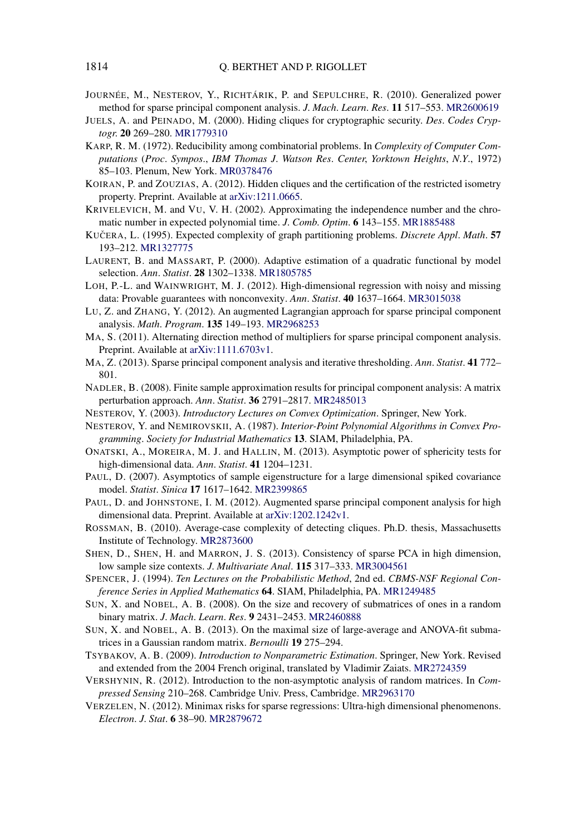- <span id="page-34-0"></span>JOURNÉE, M., NESTEROV, Y., RICHTÁRIK, P. and SEPULCHRE, R. (2010). Generalized power method for sparse principal component analysis. *J*. *Mach*. *Learn*. *Res*. **11** 517–553. [MR2600619](http://www.ams.org/mathscinet-getitem?mr=2600619)
- JUELS, A. and PEINADO, M. (2000). Hiding cliques for cryptographic security. *Des*. *Codes Cryptogr*. **20** 269–280. [MR1779310](http://www.ams.org/mathscinet-getitem?mr=1779310)
- KARP, R. M. (1972). Reducibility among combinatorial problems. In *Complexity of Computer Computations* (*Proc*. *Sympos*., *IBM Thomas J*. *Watson Res*. *Center*, *Yorktown Heights*, *N*.*Y*., 1972) 85–103. Plenum, New York. [MR0378476](http://www.ams.org/mathscinet-getitem?mr=0378476)
- KOIRAN, P. and ZOUZIAS, A. (2012). Hidden cliques and the certification of the restricted isometry property. Preprint. Available at [arXiv:1211.0665.](http://arxiv.org/abs/arXiv:1211.0665)
- KRIVELEVICH, M. and VU, V. H. (2002). Approximating the independence number and the chromatic number in expected polynomial time. *J*. *Comb*. *Optim*. **6** 143–155. [MR1885488](http://www.ams.org/mathscinet-getitem?mr=1885488)
- KUČERA, L. (1995). Expected complexity of graph partitioning problems. *Discrete Appl. Math*. 57 193–212. [MR1327775](http://www.ams.org/mathscinet-getitem?mr=1327775)
- LAURENT, B. and MASSART, P. (2000). Adaptive estimation of a quadratic functional by model selection. *Ann*. *Statist*. **28** 1302–1338. [MR1805785](http://www.ams.org/mathscinet-getitem?mr=1805785)
- LOH, P.-L. and WAINWRIGHT, M. J. (2012). High-dimensional regression with noisy and missing data: Provable guarantees with nonconvexity. *Ann*. *Statist*. **40** 1637–1664. [MR3015038](http://www.ams.org/mathscinet-getitem?mr=3015038)
- LU, Z. and ZHANG, Y. (2012). An augmented Lagrangian approach for sparse principal component analysis. *Math*. *Program*. **135** 149–193. [MR2968253](http://www.ams.org/mathscinet-getitem?mr=2968253)
- MA, S. (2011). Alternating direction method of multipliers for sparse principal component analysis. Preprint. Available at [arXiv:1111.6703v1](http://arxiv.org/abs/arXiv:1111.6703v1).
- MA, Z. (2013). Sparse principal component analysis and iterative thresholding. *Ann*. *Statist*. **41** 772– 801.
- NADLER, B. (2008). Finite sample approximation results for principal component analysis: A matrix perturbation approach. *Ann*. *Statist*. **36** 2791–2817. [MR2485013](http://www.ams.org/mathscinet-getitem?mr=2485013)
- NESTEROV, Y. (2003). *Introductory Lectures on Convex Optimization*. Springer, New York.
- NESTEROV, Y. and NEMIROVSKII, A. (1987). *Interior-Point Polynomial Algorithms in Convex Programming*. *Society for Industrial Mathematics* **13**. SIAM, Philadelphia, PA.
- ONATSKI, A., MOREIRA, M. J. and HALLIN, M. (2013). Asymptotic power of sphericity tests for high-dimensional data. *Ann*. *Statist*. **41** 1204–1231.
- PAUL, D. (2007). Asymptotics of sample eigenstructure for a large dimensional spiked covariance model. *Statist*. *Sinica* **17** 1617–1642. [MR2399865](http://www.ams.org/mathscinet-getitem?mr=2399865)
- PAUL, D. and JOHNSTONE, I. M. (2012). Augmented sparse principal component analysis for high dimensional data. Preprint. Available at [arXiv:1202.1242v1.](http://arxiv.org/abs/arXiv:1202.1242v1)
- ROSSMAN, B. (2010). Average-case complexity of detecting cliques. Ph.D. thesis, Massachusetts Institute of Technology. [MR2873600](http://www.ams.org/mathscinet-getitem?mr=2873600)
- SHEN, D., SHEN, H. and MARRON, J. S. (2013). Consistency of sparse PCA in high dimension, low sample size contexts. *J*. *Multivariate Anal*. **115** 317–333. [MR3004561](http://www.ams.org/mathscinet-getitem?mr=3004561)
- SPENCER, J. (1994). *Ten Lectures on the Probabilistic Method*, 2nd ed. *CBMS-NSF Regional Conference Series in Applied Mathematics* **64**. SIAM, Philadelphia, PA. [MR1249485](http://www.ams.org/mathscinet-getitem?mr=1249485)
- SUN, X. and NOBEL, A. B. (2008). On the size and recovery of submatrices of ones in a random binary matrix. *J*. *Mach*. *Learn*. *Res*. **9** 2431–2453. [MR2460888](http://www.ams.org/mathscinet-getitem?mr=2460888)
- SUN, X. and NOBEL, A. B. (2013). On the maximal size of large-average and ANOVA-fit submatrices in a Gaussian random matrix. *Bernoulli* **19** 275–294.
- TSYBAKOV, A. B. (2009). *Introduction to Nonparametric Estimation*. Springer, New York. Revised and extended from the 2004 French original, translated by Vladimir Zaiats. [MR2724359](http://www.ams.org/mathscinet-getitem?mr=2724359)
- VERSHYNIN, R. (2012). Introduction to the non-asymptotic analysis of random matrices. In *Compressed Sensing* 210–268. Cambridge Univ. Press, Cambridge. [MR2963170](http://www.ams.org/mathscinet-getitem?mr=2963170)
- VERZELEN, N. (2012). Minimax risks for sparse regressions: Ultra-high dimensional phenomenons. *Electron*. *J*. *Stat*. **6** 38–90. [MR2879672](http://www.ams.org/mathscinet-getitem?mr=2879672)